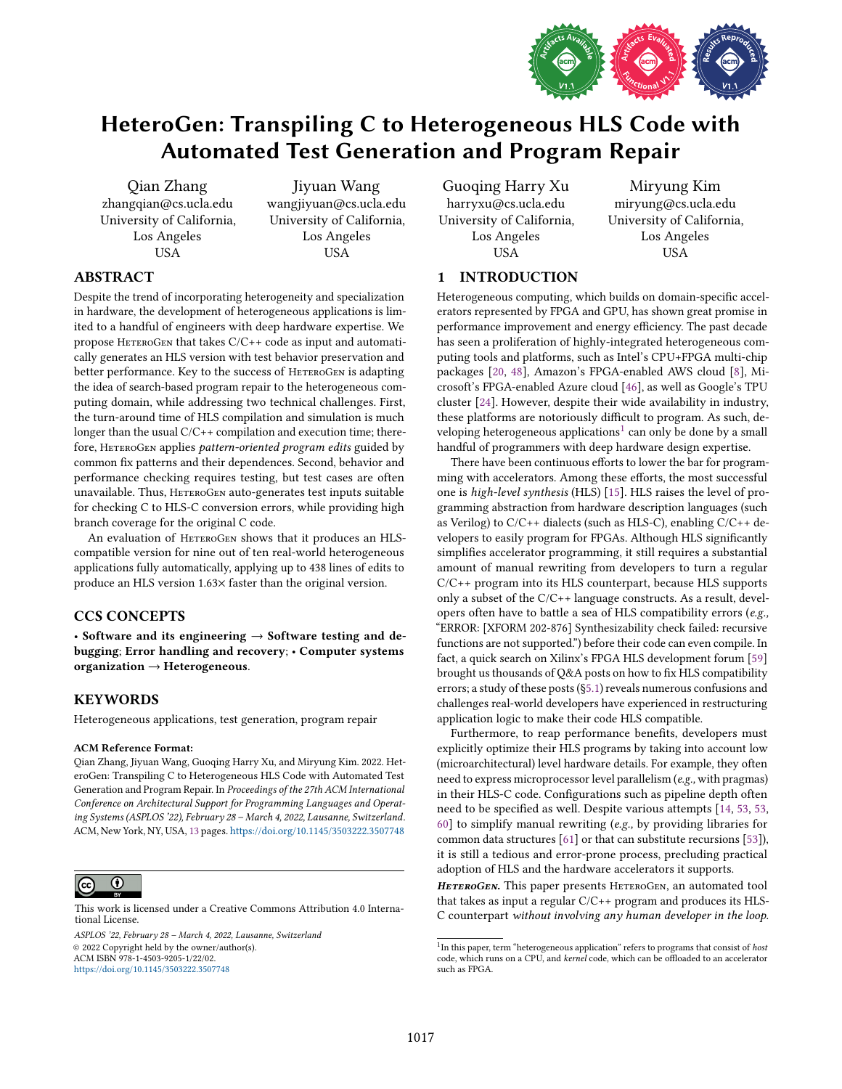

# HeteroGen: Transpiling C to Heterogeneous HLS Code with Automated Test Generation and Program Repair

Qian Zhang zhangqian@cs.ucla.edu University of California, Los Angeles USA

Jiyuan Wang wangjiyuan@cs.ucla.edu University of California, Los Angeles USA

Guoqing Harry Xu harryxu@cs.ucla.edu University of California, Los Angeles

Miryung Kim miryung@cs.ucla.edu University of California, Los Angeles USA

# ABSTRACT

Despite the trend of incorporating heterogeneity and specialization in hardware, the development of heterogeneous applications is limited to a handful of engineers with deep hardware expertise. We propose HETEROGEN that takes  $C/C++$  code as input and automatically generates an HLS version with test behavior preservation and better performance. Key to the success of HETEROGEN is adapting the idea of search-based program repair to the heterogeneous computing domain, while addressing two technical challenges. First, the turn-around time of HLS compilation and simulation is much longer than the usual C/C++ compilation and execution time; therefore, HETEROGEN applies pattern-oriented program edits guided by common fix patterns and their dependences. Second, behavior and performance checking requires testing, but test cases are often unavailable. Thus, HETEROGEN auto-generates test inputs suitable for checking C to HLS-C conversion errors, while providing high branch coverage for the original C code.

An evaluation of HETEROGEN shows that it produces an HLScompatible version for nine out of ten real-world heterogeneous applications fully automatically, applying up to 438 lines of edits to produce an HLS version 1.63× faster than the original version.

# CCS CONCEPTS

• Software and its engineering  $\rightarrow$  Software testing and debugging; Error handling and recovery; • Computer systems organization → Heterogeneous.

# KEYWORDS

Heterogeneous applications, test generation, program repair

#### ACM Reference Format:

Qian Zhang, Jiyuan Wang, Guoqing Harry Xu, and Miryung Kim. 2022. HeteroGen: Transpiling C to Heterogeneous HLS Code with Automated Test Generation and Program Repair. In Proceedings of the 27th ACM International Conference on Architectural Support for Programming Languages and Operating Systems (ASPLOS '22), February 28 - March 4, 2022, Lausanne, Switzerland. ACM, New York, NY, USA, [13](#page-12-0) pages. <https://doi.org/10.1145/3503222.3507748>



[This work is licensed under a Creative Commons Attribution 4.0 Interna](http://creativecommons.org/licenses/by/4.0/)tional License.

ASPLOS '22, February 28 - March 4, 2022, Lausanne, Switzerland © 2022 Copyright held by the owner/author(s). ACM ISBN 978-1-4503-9205-1/22/02. <https://doi.org/10.1145/3503222.3507748>

USA 1 INTRODUCTION

Heterogeneous computing, which builds on domain-specific accelerators represented by FPGA and GPU, has shown great promise in performance improvement and energy efficiency. The past decade has seen a proliferation of highly-integrated heterogeneous computing tools and platforms, such as Intel's CPU+FPGA multi-chip packages [\[20,](#page-11-0) [48\]](#page-12-1), Amazon's FPGA-enabled AWS cloud [\[8\]](#page-11-1), Microsoft's FPGA-enabled Azure cloud [\[46\]](#page-12-2), as well as Google's TPU cluster [\[24\]](#page-11-2). However, despite their wide availability in industry, these platforms are notoriously difficult to program. As such, de-veloping heterogeneous applications<sup>[1](#page-0-0)</sup> can only be done by a small handful of programmers with deep hardware design expertise.

There have been continuous efforts to lower the bar for programming with accelerators. Among these efforts, the most successful one is high-level synthesis (HLS) [\[15\]](#page-11-3). HLS raises the level of programming abstraction from hardware description languages (such as Verilog) to  $C/C++$  dialects (such as HLS-C), enabling  $C/C++$  developers to easily program for FPGAs. Although HLS significantly simplifies accelerator programming, it still requires a substantial amount of manual rewriting from developers to turn a regular C/C++ program into its HLS counterpart, because HLS supports only a subset of the C/C++ language constructs. As a result, developers often have to battle a sea of HLS compatibility errors (e.g., łERROR: [XFORM 202-876] Synthesizability check failed: recursive functions are not supported.") before their code can even compile. In fact, a quick search on Xilinx's FPGA HLS development forum [\[59\]](#page-12-3) brought us thousands of Q&A posts on how to fix HLS compatibility errors; a study of these posts ([ğ5.1\)](#page-5-0) reveals numerous confusions and challenges real-world developers have experienced in restructuring application logic to make their code HLS compatible.

Furthermore, to reap performance benefits, developers must explicitly optimize their HLS programs by taking into account low (microarchitectural) level hardware details. For example, they often need to express microprocessor level parallelism (e.g., with pragmas) in their HLS-C code. Configurations such as pipeline depth often need to be specified as well. Despite various attempts [\[14,](#page-11-4) [53,](#page-12-4) [53,](#page-12-4) [60\]](#page-12-5) to simplify manual rewriting (e.g., by providing libraries for common data structures [\[61\]](#page-12-6) or that can substitute recursions [\[53\]](#page-12-4)), it is still a tedious and error-prone process, precluding practical adoption of HLS and the hardware accelerators it supports.

HETEROGEN. This paper presents HETEROGEN, an automated tool that takes as input a regular C/C++ program and produces its HLS-C counterpart without involving any human developer in the loop.

<span id="page-0-0"></span> $1$ In this paper, term "heterogeneous application" refers to programs that consist of host code, which runs on a CPU, and kernel code, which can be offloaded to an accelerator such as FPGA.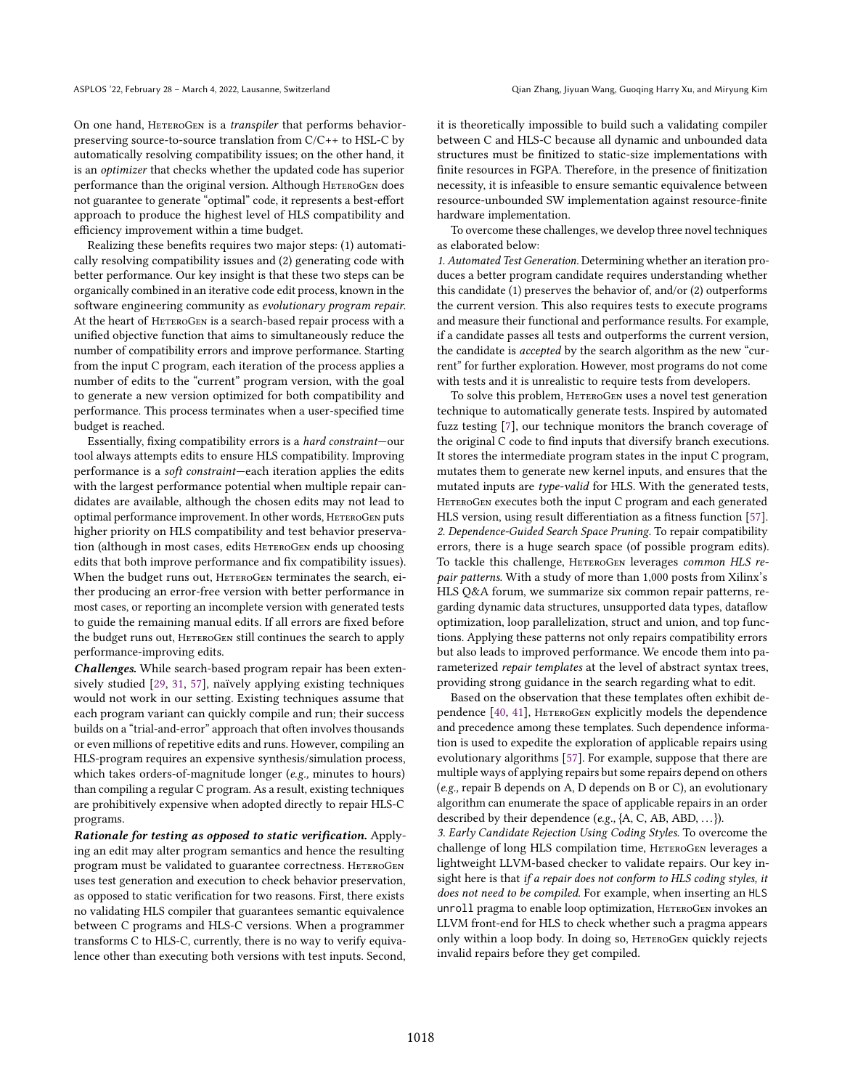On one hand, HETEROGEN is a *transpiler* that performs behaviorpreserving source-to-source translation from C/C++ to HSL-C by automatically resolving compatibility issues; on the other hand, it is an optimizer that checks whether the updated code has superior performance than the original version. Although HETEROGEN does not guarantee to generate "optimal" code, it represents a best-effort approach to produce the highest level of HLS compatibility and efficiency improvement within a time budget.

Realizing these benefits requires two major steps: (1) automatically resolving compatibility issues and (2) generating code with better performance. Our key insight is that these two steps can be organically combined in an iterative code edit process, known in the software engineering community as evolutionary program repair. At the heart of HETEROGEN is a search-based repair process with a unified objective function that aims to simultaneously reduce the number of compatibility errors and improve performance. Starting from the input C program, each iteration of the process applies a number of edits to the "current" program version, with the goal to generate a new version optimized for both compatibility and performance. This process terminates when a user-specified time budget is reached.

Essentially, fixing compatibility errors is a *hard constraint*—our tool always attempts edits to ensure HLS compatibility. Improving performance is a soft constraint—each iteration applies the edits with the largest performance potential when multiple repair candidates are available, although the chosen edits may not lead to optimal performance improvement. In other words, HETEROGEN puts higher priority on HLS compatibility and test behavior preservation (although in most cases, edits HETEROGEN ends up choosing edits that both improve performance and fix compatibility issues). When the budget runs out, HETEROGEN terminates the search, either producing an error-free version with better performance in most cases, or reporting an incomplete version with generated tests to guide the remaining manual edits. If all errors are fixed before the budget runs out, HETEROGEN still continues the search to apply performance-improving edits.

Challenges. While search-based program repair has been extensively studied [\[29,](#page-11-5) [31,](#page-11-6) [57\]](#page-12-7), naïvely applying existing techniques would not work in our setting. Existing techniques assume that each program variant can quickly compile and run; their success builds on a "trial-and-error" approach that often involves thousands or even millions of repetitive edits and runs. However, compiling an HLS-program requires an expensive synthesis/simulation process, which takes orders-of-magnitude longer (e.g., minutes to hours) than compiling a regular C program. As a result, existing techniques are prohibitively expensive when adopted directly to repair HLS-C programs.

Rationale for testing as opposed to static verification. Applying an edit may alter program semantics and hence the resulting program must be validated to guarantee correctness. HETEROGEN uses test generation and execution to check behavior preservation, as opposed to static verification for two reasons. First, there exists no validating HLS compiler that guarantees semantic equivalence between C programs and HLS-C versions. When a programmer transforms C to HLS-C, currently, there is no way to verify equivalence other than executing both versions with test inputs. Second, it is theoretically impossible to build such a validating compiler between C and HLS-C because all dynamic and unbounded data structures must be finitized to static-size implementations with finite resources in FGPA. Therefore, in the presence of finitization necessity, it is infeasible to ensure semantic equivalence between resource-unbounded SW implementation against resource-finite hardware implementation.

To overcome these challenges, we develop three novel techniques as elaborated below:

1. Automated Test Generation. Determining whether an iteration produces a better program candidate requires understanding whether this candidate (1) preserves the behavior of, and/or (2) outperforms the current version. This also requires tests to execute programs and measure their functional and performance results. For example, if a candidate passes all tests and outperforms the current version, the candidate is *accepted* by the search algorithm as the new "current" for further exploration. However, most programs do not come with tests and it is unrealistic to require tests from developers.

To solve this problem, HeteroGen uses a novel test generation technique to automatically generate tests. Inspired by automated fuzz testing [\[7\]](#page-11-7), our technique monitors the branch coverage of the original C code to find inputs that diversify branch executions. It stores the intermediate program states in the input C program, mutates them to generate new kernel inputs, and ensures that the mutated inputs are type-valid for HLS. With the generated tests, HETEROGEN executes both the input C program and each generated HLS version, using result differentiation as a fitness function [\[57\]](#page-12-7). 2. Dependence-Guided Search Space Pruning. To repair compatibility errors, there is a huge search space (of possible program edits). To tackle this challenge, HETEROGEN leverages common HLS repair patterns. With a study of more than 1,000 posts from Xilinx's HLS Q&A forum, we summarize six common repair patterns, regarding dynamic data structures, unsupported data types, dataflow optimization, loop parallelization, struct and union, and top functions. Applying these patterns not only repairs compatibility errors but also leads to improved performance. We encode them into parameterized repair templates at the level of abstract syntax trees, providing strong guidance in the search regarding what to edit.

Based on the observation that these templates often exhibit dependence [\[40,](#page-12-8) [41\]](#page-12-9), HeteroGen explicitly models the dependence and precedence among these templates. Such dependence information is used to expedite the exploration of applicable repairs using evolutionary algorithms [\[57\]](#page-12-7). For example, suppose that there are multiple ways of applying repairs but some repairs depend on others (e.g., repair B depends on A, D depends on B or C), an evolutionary algorithm can enumerate the space of applicable repairs in an order described by their dependence (e.g.,  $\{A, C, AB, ABD, \ldots\}$ ).

3. Early Candidate Rejection Using Coding Styles. To overcome the challenge of long HLS compilation time, HETEROGEN leverages a lightweight LLVM-based checker to validate repairs. Our key insight here is that if a repair does not conform to HLS coding styles, it does not need to be compiled. For example, when inserting an HLS unroll pragma to enable loop optimization, HETEROGEN invokes an LLVM front-end for HLS to check whether such a pragma appears only within a loop body. In doing so, HeteroGen quickly rejects invalid repairs before they get compiled.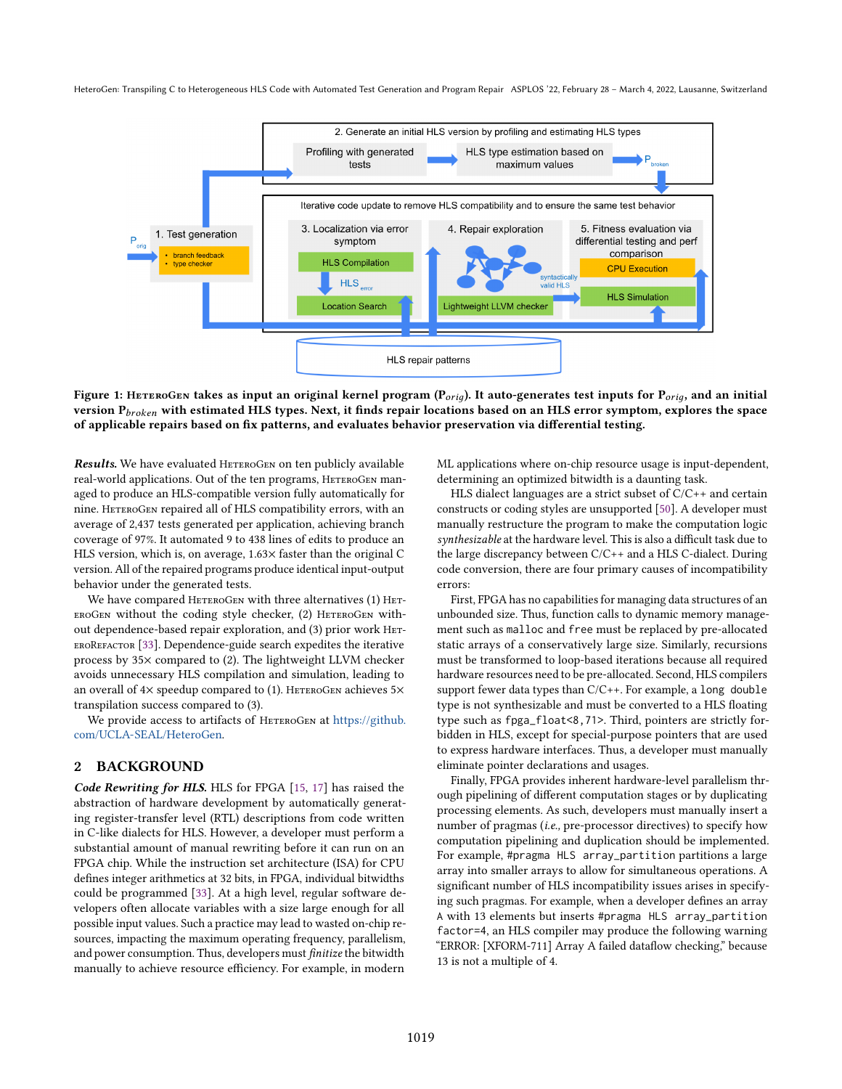<span id="page-2-0"></span>

Figure 1: HETEROGEN takes as input an original kernel program ( $P_{orig}$ ). It auto-generates test inputs for  $P_{orig}$ , and an initial version  $P_{broken}$  with estimated HLS types. Next, it finds repair locations based on an HLS error symptom, explores the space of applicable repairs based on fix patterns, and evaluates behavior preservation via differential testing.

Results. We have evaluated HETEROGEN on ten publicly available real-world applications. Out of the ten programs, HETEROGEN managed to produce an HLS-compatible version fully automatically for nine. HeteroGen repaired all of HLS compatibility errors, with an average of 2,437 tests generated per application, achieving branch coverage of 97%. It automated 9 to 438 lines of edits to produce an HLS version, which is, on average, 1.63× faster than the original C version. All of the repaired programs produce identical input-output behavior under the generated tests.

We have compared HETEROGEN with three alternatives (1) HET-EROGEN without the coding style checker, (2) HETEROGEN without dependence-based repair exploration, and (3) prior work HET-EROREFACTOR [\[33\]](#page-11-8). Dependence-guide search expedites the iterative process by 35× compared to (2). The lightweight LLVM checker avoids unnecessary HLS compilation and simulation, leading to an overall of  $4\times$  speedup compared to (1). HETEROGEN achieves  $5\times$ transpilation success compared to (3).

We provide access to artifacts of HETEROGEN at [https://github.](https://github.com/UCLA-SEAL/HeteroGen) [com/UCLA-SEAL/HeteroGen.](https://github.com/UCLA-SEAL/HeteroGen)

# 2 BACKGROUND

Code Rewriting for HLS. HLS for FPGA [\[15,](#page-11-3) [17\]](#page-11-9) has raised the abstraction of hardware development by automatically generating register-transfer level (RTL) descriptions from code written in C-like dialects for HLS. However, a developer must perform a substantial amount of manual rewriting before it can run on an FPGA chip. While the instruction set architecture (ISA) for CPU defines integer arithmetics at 32 bits, in FPGA, individual bitwidths could be programmed [\[33\]](#page-11-8). At a high level, regular software developers often allocate variables with a size large enough for all possible input values. Such a practice may lead to wasted on-chip resources, impacting the maximum operating frequency, parallelism, and power consumption. Thus, developers must finitize the bitwidth manually to achieve resource efficiency. For example, in modern

ML applications where on-chip resource usage is input-dependent, determining an optimized bitwidth is a daunting task.

HLS dialect languages are a strict subset of C/C++ and certain constructs or coding styles are unsupported [\[50\]](#page-12-10). A developer must manually restructure the program to make the computation logic synthesizable at the hardware level. This is also a difficult task due to the large discrepancy between C/C++ and a HLS C-dialect. During code conversion, there are four primary causes of incompatibility errors:

First, FPGA has no capabilities for managing data structures of an unbounded size. Thus, function calls to dynamic memory management such as malloc and free must be replaced by pre-allocated static arrays of a conservatively large size. Similarly, recursions must be transformed to loop-based iterations because all required hardware resources need to be pre-allocated. Second, HLS compilers support fewer data types than C/C++. For example, a long double type is not synthesizable and must be converted to a HLS floating type such as fpga\_float<8,71>. Third, pointers are strictly forbidden in HLS, except for special-purpose pointers that are used to express hardware interfaces. Thus, a developer must manually eliminate pointer declarations and usages.

Finally, FPGA provides inherent hardware-level parallelism through pipelining of different computation stages or by duplicating processing elements. As such, developers must manually insert a number of pragmas (i.e., pre-processor directives) to specify how computation pipelining and duplication should be implemented. For example, #pragma HLS array\_partition partitions a large array into smaller arrays to allow for simultaneous operations. A significant number of HLS incompatibility issues arises in specifying such pragmas. For example, when a developer defines an array A with 13 elements but inserts #pragma HLS array\_partition factor=4, an HLS compiler may produce the following warning "ERROR: [XFORM-711] Array A failed dataflow checking," because 13 is not a multiple of 4.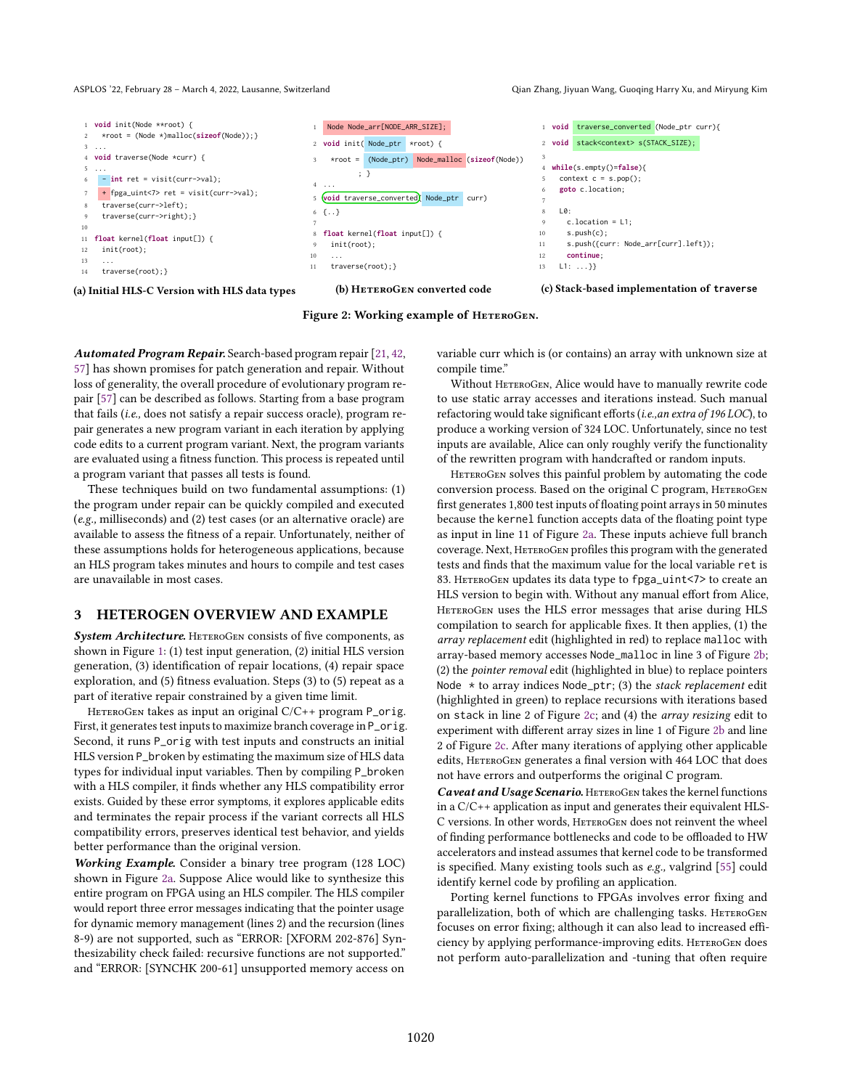#### ASPLOS '22, February 28 – March 4, 2022, Lausanne, Switzerland Qian Chang, Jiyuan Wang, Guoqing Harry Xu, and Miryung Kim

<span id="page-3-0"></span>

Figure 2: Working example of HETEROGEN.

Automated Program Repair. Search-based program repair [\[21,](#page-11-10) [42,](#page-12-11) [57\]](#page-12-7) has shown promises for patch generation and repair. Without loss of generality, the overall procedure of evolutionary program repair [\[57\]](#page-12-7) can be described as follows. Starting from a base program that fails (i.e., does not satisfy a repair success oracle), program repair generates a new program variant in each iteration by applying code edits to a current program variant. Next, the program variants are evaluated using a fitness function. This process is repeated until a program variant that passes all tests is found.

These techniques build on two fundamental assumptions: (1) the program under repair can be quickly compiled and executed (e.g., milliseconds) and (2) test cases (or an alternative oracle) are available to assess the fitness of a repair. Unfortunately, neither of these assumptions holds for heterogeneous applications, because an HLS program takes minutes and hours to compile and test cases are unavailable in most cases.

#### 3 HETEROGEN OVERVIEW AND EXAMPLE

System Architecture. HETEROGEN consists of five components, as shown in Figure [1:](#page-2-0) (1) test input generation, (2) initial HLS version generation, (3) identification of repair locations, (4) repair space exploration, and (5) fitness evaluation. Steps (3) to (5) repeat as a part of iterative repair constrained by a given time limit.

HETEROGEN takes as input an original  $C/C++$  program P\_orig. First, it generates test inputs to maximize branch coverage in P\_orig. Second, it runs P\_orig with test inputs and constructs an initial HLS version P\_broken by estimating the maximum size of HLS data types for individual input variables. Then by compiling P\_broken with a HLS compiler, it finds whether any HLS compatibility error exists. Guided by these error symptoms, it explores applicable edits and terminates the repair process if the variant corrects all HLS compatibility errors, preserves identical test behavior, and yields better performance than the original version.

Working Example. Consider a binary tree program (128 LOC) shown in Figure [2a.](#page-3-0) Suppose Alice would like to synthesize this entire program on FPGA using an HLS compiler. The HLS compiler would report three error messages indicating that the pointer usage for dynamic memory management (lines 2) and the recursion (lines 8-9) are not supported, such as "ERROR: [XFORM 202-876] Synthesizability check failed: recursive functions are not supported." and "ERROR: [SYNCHK 200-61] unsupported memory access on

variable curr which is (or contains) an array with unknown size at compile time."

Without HETEROGEN, Alice would have to manually rewrite code to use static array accesses and iterations instead. Such manual refactoring would take significant efforts (i.e.,an extra of 196 LOC), to produce a working version of 324 LOC. Unfortunately, since no test inputs are available, Alice can only roughly verify the functionality of the rewritten program with handcrafted or random inputs.

HETEROGEN solves this painful problem by automating the code conversion process. Based on the original C program, HETEROGEN first generates 1,800 test inputs of floating point arrays in 50 minutes because the kernel function accepts data of the floating point type as input in line 11 of Figure [2a.](#page-3-0) These inputs achieve full branch coverage. Next, HETEROGEN profiles this program with the generated tests and finds that the maximum value for the local variable ret is 83. HETEROGEN updates its data type to fpga\_uint<7> to create an HLS version to begin with. Without any manual effort from Alice, HETEROGEN uses the HLS error messages that arise during HLS compilation to search for applicable fixes. It then applies, (1) the array replacement edit (highlighted in red) to replace malloc with array-based memory accesses Node\_malloc in line 3 of Figure [2b;](#page-3-0) (2) the pointer removal edit (highlighted in blue) to replace pointers Node  $*$  to array indices Node\_ptr; (3) the stack replacement edit (highlighted in green) to replace recursions with iterations based on stack in line 2 of Figure [2c;](#page-3-0) and (4) the array resizing edit to experiment with different array sizes in line 1 of Figure [2b](#page-3-0) and line 2 of Figure [2c.](#page-3-0) After many iterations of applying other applicable edits, HETEROGEN generates a final version with 464 LOC that does not have errors and outperforms the original C program.

Caveat and Usage Scenario. HETEROGEN takes the kernel functions in a C/C++ application as input and generates their equivalent HLS-C versions. In other words, HETEROGEN does not reinvent the wheel of finding performance bottlenecks and code to be offloaded to HW accelerators and instead assumes that kernel code to be transformed is specified. Many existing tools such as e.g., valgrind [\[55\]](#page-12-12) could identify kernel code by profiling an application.

Porting kernel functions to FPGAs involves error fixing and parallelization, both of which are challenging tasks. HETEROGEN focuses on error fixing; although it can also lead to increased efficiency by applying performance-improving edits. HETEROGEN does not perform auto-parallelization and -tuning that often require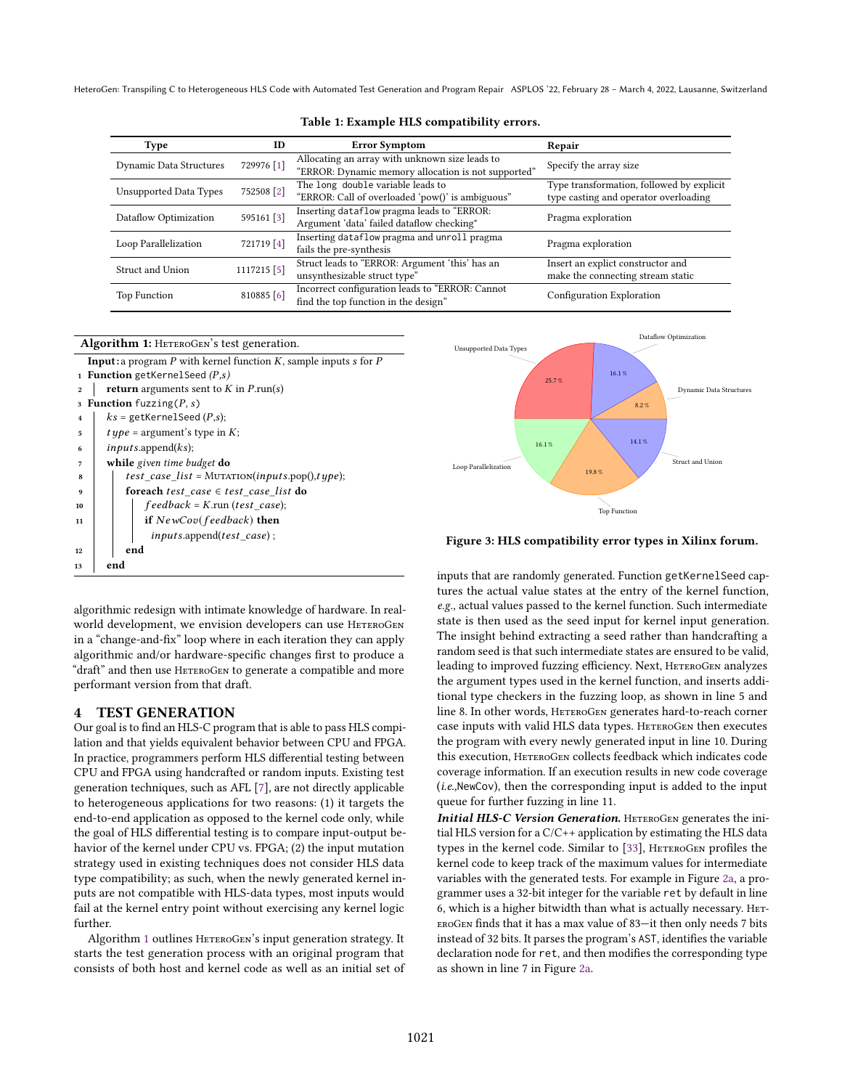<span id="page-4-2"></span>

| <b>Type</b>                   | ID                                                                                                    | <b>Error Symptom</b>                                                                                  | Repair                                                                             |  |  |
|-------------------------------|-------------------------------------------------------------------------------------------------------|-------------------------------------------------------------------------------------------------------|------------------------------------------------------------------------------------|--|--|
| Dynamic Data Structures       | 729976 [1]                                                                                            | Allocating an array with unknown size leads to<br>"ERROR: Dynamic memory allocation is not supported" | Specify the array size                                                             |  |  |
| <b>Unsupported Data Types</b> | 752508 [2]                                                                                            | The long double variable leads to<br>"ERROR: Call of overloaded 'pow()' is ambiguous"                 | Type transformation, followed by explicit<br>type casting and operator overloading |  |  |
| Dataflow Optimization         | Inserting dataflow pragma leads to "ERROR:<br>595161 [3]<br>Argument 'data' failed dataflow checking" |                                                                                                       | Pragma exploration                                                                 |  |  |
| Loop Parallelization          | Inserting dataflow pragma and unroll pragma<br>721719 [4]<br>fails the pre-synthesis                  |                                                                                                       | Pragma exploration                                                                 |  |  |
| Struct and Union              | 1117215 [5]                                                                                           | Struct leads to "ERROR: Argument 'this' has an<br>unsynthesizable struct type"                        | Insert an explict constructor and<br>make the connecting stream static             |  |  |
| Top Function                  | $810885$ [6]                                                                                          | Incorrect configuration leads to "ERROR: Cannot<br>find the top function in the design"               | Configuration Exploration                                                          |  |  |

#### Table 1: Example HLS compatibility errors.



<span id="page-4-1"></span>

Figure 3: HLS compatibility error types in Xilinx forum.

<span id="page-4-0"></span>algorithmic redesign with intimate knowledge of hardware. In realworld development, we envision developers can use HETEROGEN in a "change-and-fix" loop where in each iteration they can apply algorithmic and/or hardware-specific changes first to produce a "draft" and then use HETEROGEN to generate a compatible and more performant version from that draft.

### <span id="page-4-3"></span>4 TEST GENERATION

Our goal is to find an HLS-C program that is able to pass HLS compilation and that yields equivalent behavior between CPU and FPGA. In practice, programmers perform HLS differential testing between CPU and FPGA using handcrafted or random inputs. Existing test generation techniques, such as AFL [\[7\]](#page-11-7), are not directly applicable to heterogeneous applications for two reasons: (1) it targets the end-to-end application as opposed to the kernel code only, while the goal of HLS differential testing is to compare input-output behavior of the kernel under CPU vs. FPGA; (2) the input mutation strategy used in existing techniques does not consider HLS data type compatibility; as such, when the newly generated kernel inputs are not compatible with HLS-data types, most inputs would fail at the kernel entry point without exercising any kernel logic further.

Algorithm [1](#page-4-0) outlines HETEROGEN's input generation strategy. It starts the test generation process with an original program that consists of both host and kernel code as well as an initial set of inputs that are randomly generated. Function getKernelSeed captures the actual value states at the entry of the kernel function, e.g., actual values passed to the kernel function. Such intermediate state is then used as the seed input for kernel input generation. The insight behind extracting a seed rather than handcrafting a random seed is that such intermediate states are ensured to be valid, leading to improved fuzzing efficiency. Next, HETEROGEN analyzes the argument types used in the kernel function, and inserts additional type checkers in the fuzzing loop, as shown in line 5 and line 8. In other words, HETEROGEN generates hard-to-reach corner case inputs with valid HLS data types. HETEROGEN then executes the program with every newly generated input in line 10. During this execution, HETEROGEN collects feedback which indicates code coverage information. If an execution results in new code coverage (i.e.,NewCov), then the corresponding input is added to the input queue for further fuzzing in line 11.

Initial HLS-C Version Generation. HETEROGEN generates the initial HLS version for a C/C++ application by estimating the HLS data types in the kernel code. Similar to [\[33\]](#page-11-8), HETEROGEN profiles the kernel code to keep track of the maximum values for intermediate variables with the generated tests. For example in Figure [2a,](#page-3-0) a programmer uses a 32-bit integer for the variable ret by default in line 6, which is a higher bitwidth than what is actually necessary. Het-EROGEN finds that it has a max value of 83-it then only needs 7 bits instead of 32 bits. It parses the program's AST, identifies the variable declaration node for ret, and then modifies the corresponding type as shown in line 7 in Figure [2a.](#page-3-0)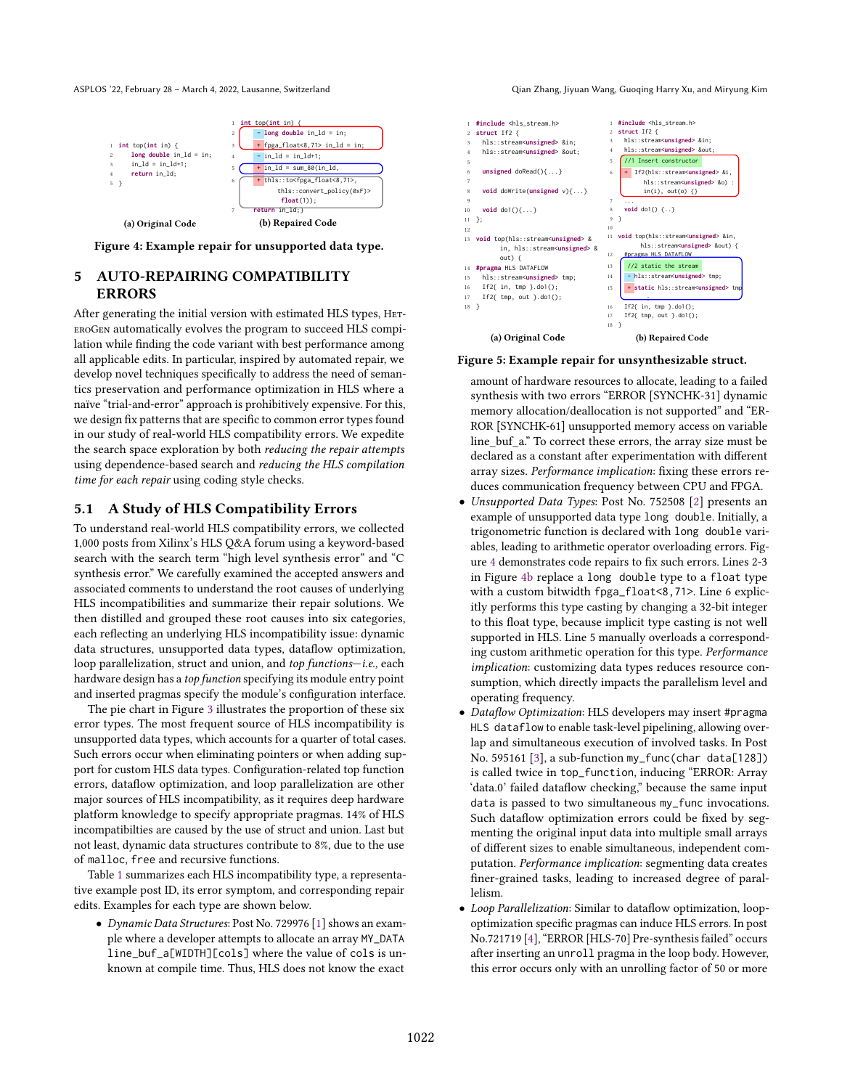<span id="page-5-1"></span>

**int** top(**int** in) { 2 **long double** in\_ld = in; 3 in\_ld = in\_ld+1; 4 **return** in\_ld; 5 } (a) Original Code int top(int in) { 2 - **long double** in\_ld = in;  $+$  fpga\_float<8,71> in\_ld = in  $-$  in\_ld = in\_ld+1;  $+$  in\_ld = sum\_80(in\_ld  $\frac{1}{\text{this::to<} \text{fpga\_float<} 8,71}$ thls::convert\_policy(0xF)> **float**(1)); in\_ld;} (b) Repaired Code

Figure 4: Example repair for unsupported data type.

# 5 AUTO-REPAIRING COMPATIBILITY ERRORS

After generating the initial version with estimated HLS types, HeteroGen automatically evolves the program to succeed HLS compilation while finding the code variant with best performance among all applicable edits. In particular, inspired by automated repair, we develop novel techniques specifically to address the need of semantics preservation and performance optimization in HLS where a naïve "trial-and-error" approach is prohibitively expensive. For this, we design fix patterns that are specific to common error types found in our study of real-world HLS compatibility errors. We expedite the search space exploration by both reducing the repair attempts using dependence-based search and reducing the HLS compilation time for each repair using coding style checks.

#### <span id="page-5-0"></span>5.1 A Study of HLS Compatibility Errors

To understand real-world HLS compatibility errors, we collected 1,000 posts from Xilinx's HLS Q&A forum using a keyword-based search with the search term "high level synthesis error" and "C synthesis error." We carefully examined the accepted answers and associated comments to understand the root causes of underlying HLS incompatibilities and summarize their repair solutions. We then distilled and grouped these root causes into six categories, each reflecting an underlying HLS incompatibility issue: dynamic data structures, unsupported data types, dataflow optimization, loop parallelization, struct and union, and top functions-i.e., each hardware design has a top function specifying its module entry point and inserted pragmas specify the module's configuration interface.

The pie chart in Figure [3](#page-4-1) illustrates the proportion of these six error types. The most frequent source of HLS incompatibility is unsupported data types, which accounts for a quarter of total cases. Such errors occur when eliminating pointers or when adding support for custom HLS data types. Configuration-related top function errors, dataflow optimization, and loop parallelization are other major sources of HLS incompatibility, as it requires deep hardware platform knowledge to specify appropriate pragmas. 14% of HLS incompatibilties are caused by the use of struct and union. Last but not least, dynamic data structures contribute to 8%, due to the use of malloc, free and recursive functions.

Table [1](#page-4-2) summarizes each HLS incompatibility type, a representative example post ID, its error symptom, and corresponding repair edits. Examples for each type are shown below.

• Dynamic Data Structures: Post No. 729976 [\[1\]](#page-11-11) shows an example where a developer attempts to allocate an array MY\_DATA line\_buf\_a[WIDTH][cols] where the value of cols is unknown at compile time. Thus, HLS does not know the exact

ASPLOS '22, February 28 – March 4, 2022, Lausanne, Switzerland Qian Chang, Jiyuan Wang, Guoqing Harry Xu, and Miryung Kim

<span id="page-5-2"></span>

(a) Original Code

#### Figure 5: Example repair for unsynthesizable struct.

amount of hardware resources to allocate, leading to a failed synthesis with two errors "ERROR [SYNCHK-31] dynamic memory allocation/deallocation is not supported" and "ER-ROR [SYNCHK-61] unsupported memory access on variable line\_buf\_a.ž To correct these errors, the array size must be declared as a constant after experimentation with different array sizes. Performance implication: fixing these errors reduces communication frequency between CPU and FPGA.

- Unsupported Data Types: Post No. 752508 [\[2\]](#page-11-12) presents an example of unsupported data type long double. Initially, a trigonometric function is declared with long double variables, leading to arithmetic operator overloading errors. Figure [4](#page-5-1) demonstrates code repairs to fix such errors. Lines 2-3 in Figure [4b](#page-5-1) replace a long double type to a float type with a custom bitwidth fpga\_float<8,71>. Line 6 explicitly performs this type casting by changing a 32-bit integer to this float type, because implicit type casting is not well supported in HLS. Line 5 manually overloads a corresponding custom arithmetic operation for this type. Performance implication: customizing data types reduces resource consumption, which directly impacts the parallelism level and operating frequency.
- Dataflow Optimization: HLS developers may insert #pragma HLS dataflow to enable task-level pipelining, allowing overlap and simultaneous execution of involved tasks. In Post No. 595161 [\[3\]](#page-11-13), a sub-function my\_func(char data[128]) is called twice in top\_function, inducing "ERROR: Array 'data.0' failed dataflow checking," because the same input data is passed to two simultaneous my\_func invocations. Such dataflow optimization errors could be fixed by segmenting the original input data into multiple small arrays of different sizes to enable simultaneous, independent computation. Performance implication: segmenting data creates finer-grained tasks, leading to increased degree of parallelism.
- Loop Parallelization: Similar to dataflow optimization, loopoptimization specific pragmas can induce HLS errors. In post No.721719 [\[4\]](#page-11-14), "ERROR [HLS-70] Pre-synthesis failed" occurs after inserting an unroll pragma in the loop body. However, this error occurs only with an unrolling factor of 50 or more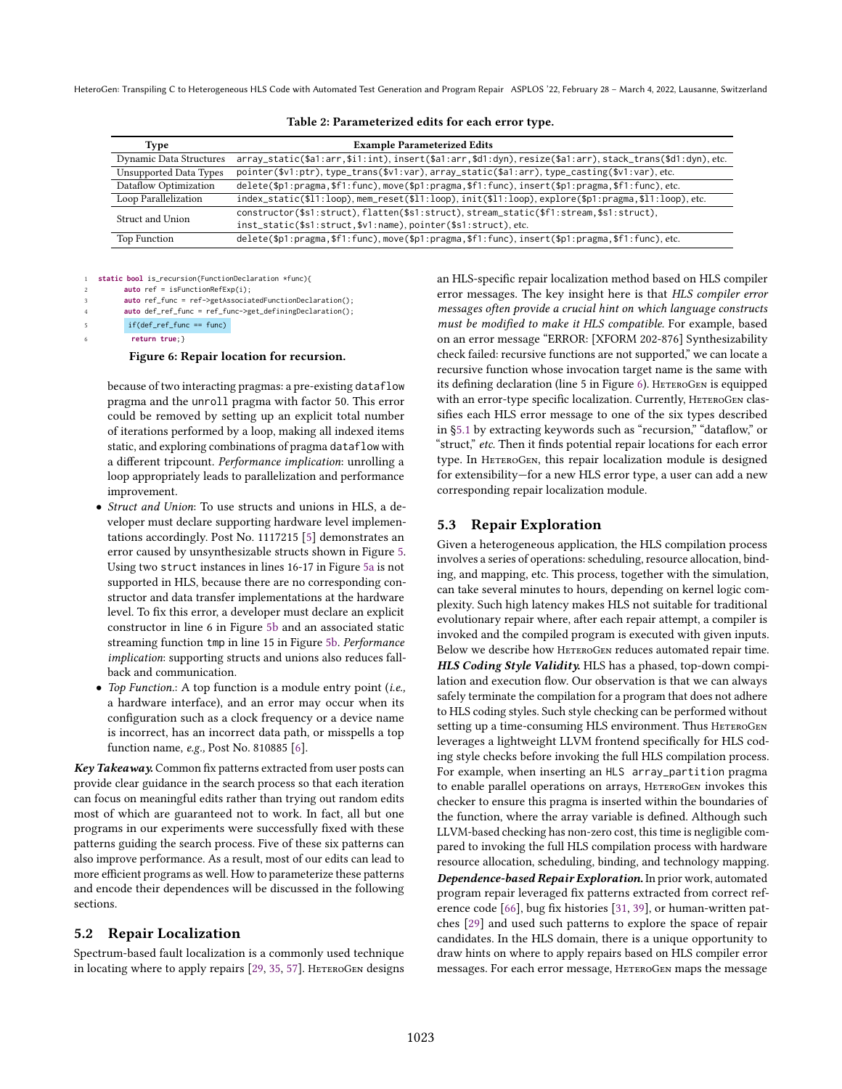<span id="page-6-1"></span>

| array_static(\$a1:arr,\$i1:int),insert(\$a1:arr,\$d1:dyn),resize(\$a1:arr),stack_trans(\$d1:dyn),etc. |  |
|-------------------------------------------------------------------------------------------------------|--|
| pointer(\$v1:ptr), type_trans(\$v1:var), array_static(\$a1:arr), type_casting(\$v1:var), etc.         |  |
| delete(\$p1:pragma,\$f1:func),move(\$p1:pragma,\$f1:func),insert(\$p1:pragma,\$f1:func),etc.          |  |
| index_static(\$11:loop),mem_reset(\$11:loop),init(\$11:loop),explore(\$p1:pragma,\$11:loop),etc.      |  |
| constructor(\$s1:struct), flatten(\$s1:struct), stream_static(\$f1:stream,\$s1:struct),               |  |
| inst_static(\$s1:struct,\$v1:name), pointer(\$s1:struct), etc.                                        |  |
| delete(\$p1:pragma,\$f1:func),move(\$p1:pragma,\$f1:func),insert(\$p1:pragma,\$f1:func),etc.          |  |
|                                                                                                       |  |

Table 2: Parameterized edits for each error type.

<span id="page-6-0"></span>static bool is\_recursion(FunctionDeclaration \*func){ 2 **auto** ref = isFunctionRefExp(i); auto ref\_func = ref->getAssociatedFunctionDeclaration(); 4 **auto** def\_ref\_func = ref\_func->get\_definingDeclaration();  $if(det\_ref\_func == func)$ 

6 **return true**;}

#### Figure 6: Repair location for recursion.

because of two interacting pragmas: a pre-existing dataflow pragma and the unroll pragma with factor 50. This error could be removed by setting up an explicit total number of iterations performed by a loop, making all indexed items static, and exploring combinations of pragma dataflow with a different tripcount. Performance implication: unrolling a loop appropriately leads to parallelization and performance improvement.

- Struct and Union: To use structs and unions in HLS, a developer must declare supporting hardware level implementations accordingly. Post No. 1117215 [\[5\]](#page-11-15) demonstrates an error caused by unsynthesizable structs shown in Figure [5.](#page-5-2) Using two struct instances in lines 16-17 in Figure [5a](#page-5-2) is not supported in HLS, because there are no corresponding constructor and data transfer implementations at the hardware level. To fix this error, a developer must declare an explicit constructor in line 6 in Figure [5b](#page-5-2) and an associated static streaming function tmp in line 15 in Figure [5b.](#page-5-2) Performance implication: supporting structs and unions also reduces fallback and communication.
- Top Function.: A top function is a module entry point (i.e., a hardware interface), and an error may occur when its configuration such as a clock frequency or a device name is incorrect, has an incorrect data path, or misspells a top function name, e.g., Post No. 810885 [\[6\]](#page-11-16).

Key Takeaway. Common fix patterns extracted from user posts can provide clear guidance in the search process so that each iteration can focus on meaningful edits rather than trying out random edits most of which are guaranteed not to work. In fact, all but one programs in our experiments were successfully fixed with these patterns guiding the search process. Five of these six patterns can also improve performance. As a result, most of our edits can lead to more efficient programs as well. How to parameterize these patterns and encode their dependences will be discussed in the following sections.

#### 5.2 Repair Localization

Spectrum-based fault localization is a commonly used technique in locating where to apply repairs [\[29,](#page-11-5) [35,](#page-11-17) [57\]](#page-12-7). HETEROGEN designs

an HLS-specific repair localization method based on HLS compiler error messages. The key insight here is that HLS compiler error messages often provide a crucial hint on which language constructs must be modified to make it HLS compatible. For example, based on an error message "ERROR: [XFORM 202-876] Synthesizability check failed: recursive functions are not supported," we can locate a recursive function whose invocation target name is the same with its defining declaration (line 5 in Figure [6\)](#page-6-0). HeteroGen is equipped with an error-type specific localization. Currently, HETEROGEN classifies each HLS error message to one of the six types described in §5.1 by extracting keywords such as "recursion," "dataflow," or "struct," etc. Then it finds potential repair locations for each error type. In HETEROGEN, this repair localization module is designed for extensibility-for a new HLS error type, a user can add a new corresponding repair localization module.

#### 5.3 Repair Exploration

Given a heterogeneous application, the HLS compilation process involves a series of operations: scheduling, resource allocation, binding, and mapping, etc. This process, together with the simulation, can take several minutes to hours, depending on kernel logic complexity. Such high latency makes HLS not suitable for traditional evolutionary repair where, after each repair attempt, a compiler is invoked and the compiled program is executed with given inputs. Below we describe how HETEROGEN reduces automated repair time. HLS Coding Style Validity. HLS has a phased, top-down compilation and execution flow. Our observation is that we can always safely terminate the compilation for a program that does not adhere to HLS coding styles. Such style checking can be performed without setting up a time-consuming HLS environment. Thus HETEROGEN leverages a lightweight LLVM frontend specifically for HLS coding style checks before invoking the full HLS compilation process. For example, when inserting an HLS array\_partition pragma to enable parallel operations on arrays, HETEROGEN invokes this checker to ensure this pragma is inserted within the boundaries of the function, where the array variable is defined. Although such LLVM-based checking has non-zero cost, this time is negligible compared to invoking the full HLS compilation process with hardware resource allocation, scheduling, binding, and technology mapping. Dependence-based Repair Exploration. In prior work, automated program repair leveraged fix patterns extracted from correct reference code [\[66\]](#page-12-13), bug fix histories [\[31,](#page-11-6) [39\]](#page-12-14), or human-written patches [\[29\]](#page-11-5) and used such patterns to explore the space of repair candidates. In the HLS domain, there is a unique opportunity to draw hints on where to apply repairs based on HLS compiler error messages. For each error message, HETEROGEN maps the message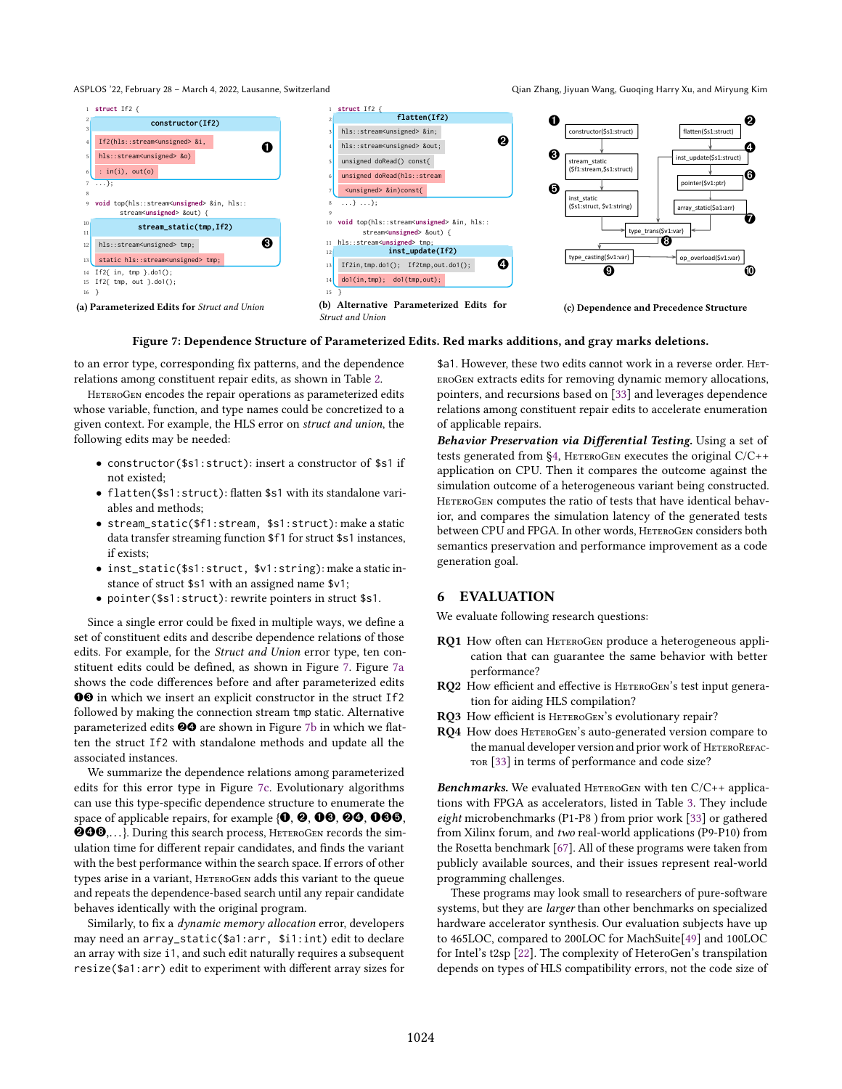#### ASPLOS '22, February 28 – March 4, 2022, Lausanne, Switzerland Qian Chang, Jiyuan Wang, Guoqing Harry Xu, and Miryung Kim

<span id="page-7-0"></span>

Figure 7: Dependence Structure of Parameterized Edits. Red marks additions, and gray marks deletions.

to an error type, corresponding fix patterns, and the dependence relations among constituent repair edits, as shown in Table [2.](#page-6-1)

HETEROGEN encodes the repair operations as parameterized edits whose variable, function, and type names could be concretized to a given context. For example, the HLS error on struct and union, the following edits may be needed:

- constructor(\$s1:struct): insert a constructor of \$s1 if not existed;
- flatten(\$s1:struct): flatten \$s1 with its standalone variables and methods;
- stream\_static(\$f1:stream, \$s1:struct): make a static data transfer streaming function \$f1 for struct \$s1 instances, if exists;
- inst\_static(\$s1:struct, \$v1:string): make a static instance of struct \$s1 with an assigned name \$v1;
- pointer(\$s1:struct): rewrite pointers in struct \$s1.

Since a single error could be fixed in multiple ways, we define a set of constituent edits and describe dependence relations of those edits. For example, for the Struct and Union error type, ten constituent edits could be defined, as shown in Figure [7.](#page-7-0) Figure [7a](#page-7-0) shows the code differences before and after parameterized edits ➊➌ in which we insert an explicit constructor in the struct If2 followed by making the connection stream tmp static. Alternative parameterized edits <sup>@</sup>@ are shown in Figure [7b](#page-7-0) in which we flatten the struct If2 with standalone methods and update all the associated instances.

We summarize the dependence relations among parameterized edits for this error type in Figure [7c.](#page-7-0) Evolutionary algorithms can use this type-specific dependence structure to enumerate the space of applicable repairs, for example {0,  $\Theta$ ,  $\Theta$ ,  $\Theta$ ,  $\Theta$ ,  $\Theta$ ,  $\Theta$ , ➋➍➑,. . . }. During this search process, HeteroGen records the simulation time for different repair candidates, and finds the variant with the best performance within the search space. If errors of other types arise in a variant, HETEROGEN adds this variant to the queue and repeats the dependence-based search until any repair candidate behaves identically with the original program.

Similarly, to fix a dynamic memory allocation error, developers may need an array\_static(\$a1:arr, \$i1:int) edit to declare an array with size i1, and such edit naturally requires a subsequent resize(\$a1:arr) edit to experiment with different array sizes for \$a1. However, these two edits cannot work in a reverse order. HeteroGen extracts edits for removing dynamic memory allocations, pointers, and recursions based on [\[33\]](#page-11-8) and leverages dependence relations among constituent repair edits to accelerate enumeration of applicable repairs.

Behavior Preservation via Differential Testing. Using a set of tests generated from  $\S 4$ , HETEROGEN executes the original  $C/C++$ application on CPU. Then it compares the outcome against the simulation outcome of a heterogeneous variant being constructed. HETEROGEN computes the ratio of tests that have identical behavior, and compares the simulation latency of the generated tests between CPU and FPGA. In other words, HETEROGEN considers both semantics preservation and performance improvement as a code generation goal.

### 6 EVALUATION

We evaluate following research questions:

- RQ1 How often can HETEROGEN produce a heterogeneous application that can guarantee the same behavior with better performance?
- RQ2 How efficient and effective is HETEROGEN's test input generation for aiding HLS compilation?
- RQ3 How efficient is HETEROGEN's evolutionary repair?
- RQ4 How does HETEROGEN's auto-generated version compare to the manual developer version and prior work of HETEROREFAC-TOR [\[33\]](#page-11-8) in terms of performance and code size?

**Benchmarks.** We evaluated HETEROGEN with ten  $C/C++$  applications with FPGA as accelerators, listed in Table [3.](#page-8-0) They include eight microbenchmarks (P1-P8 ) from prior work [\[33\]](#page-11-8) or gathered from Xilinx forum, and two real-world applications (P9-P10) from the Rosetta benchmark [\[67\]](#page-12-15). All of these programs were taken from publicly available sources, and their issues represent real-world programming challenges.

These programs may look small to researchers of pure-software systems, but they are larger than other benchmarks on specialized hardware accelerator synthesis. Our evaluation subjects have up to 465LOC, compared to 200LOC for MachSuite[\[49\]](#page-12-16) and 100LOC for Intel's t2sp [\[22\]](#page-11-18). The complexity of HeteroGen's transpilation depends on types of HLS compatibility errors, not the code size of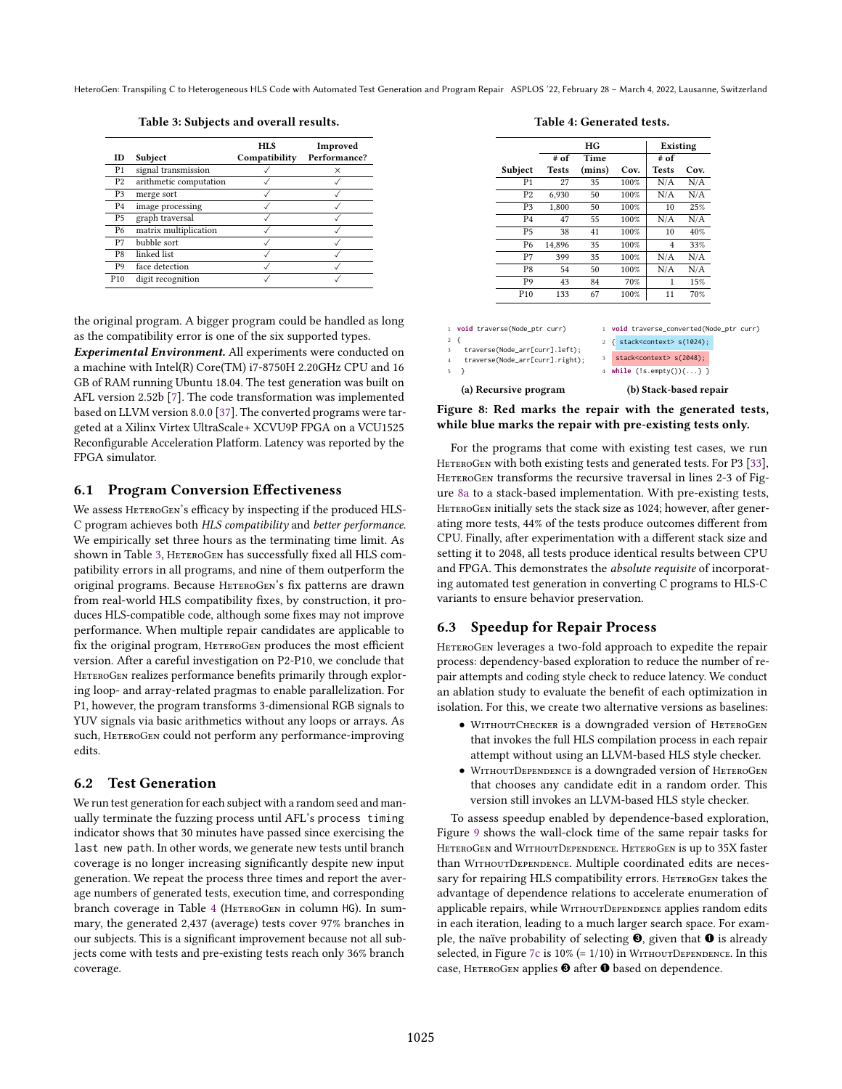<span id="page-8-2"></span>1 **void** t  $\,$  2  $\,$   $\,$  { 3 trave

5 }

(a) Recursive program

Table 3: Subjects and overall results.

<span id="page-8-0"></span>

| ID              | Subject                | <b>HIS</b><br>Compatibility | Improved<br>Performance? |
|-----------------|------------------------|-----------------------------|--------------------------|
| P <sub>1</sub>  | signal transmission    |                             | $\times$                 |
| P <sub>2</sub>  | arithmetic computation |                             |                          |
| P <sub>3</sub>  | merge sort             |                             |                          |
| P4              | image processing       |                             |                          |
| P <sub>5</sub>  | graph traversal        |                             |                          |
| P6              | matrix multiplication  |                             |                          |
| P7              | bubble sort            |                             |                          |
| P8              | linked list            |                             |                          |
| P9              | face detection         |                             |                          |
| P <sub>10</sub> | digit recognition      |                             |                          |

the original program. A bigger program could be handled as long as the compatibility error is one of the six supported types.

Experimental Environment. All experiments were conducted on a machine with Intel(R) Core(TM) i7-8750H 2.20GHz CPU and 16 GB of RAM running Ubuntu 18.04. The test generation was built on AFL version 2.52b [\[7\]](#page-11-7). The code transformation was implemented based on LLVM version 8.0.0 [\[37\]](#page-11-19). The converted programs were targeted at a Xilinx Virtex UltraScale+ XCVU9P FPGA on a VCU1525 Reconfigurable Acceleration Platform. Latency was reported by the FPGA simulator.

### 6.1 Program Conversion Effectiveness

We assess HETEROGEN's efficacy by inspecting if the produced HLS-C program achieves both HLS compatibility and better performance. We empirically set three hours as the terminating time limit. As shown in Table [3,](#page-8-0) HETEROGEN has successfully fixed all HLS compatibility errors in all programs, and nine of them outperform the original programs. Because HETEROGEN's fix patterns are drawn from real-world HLS compatibility fixes, by construction, it produces HLS-compatible code, although some fixes may not improve performance. When multiple repair candidates are applicable to fix the original program, HETEROGEN produces the most efficient version. After a careful investigation on P2-P10, we conclude that HETEROGEN realizes performance benefits primarily through exploring loop- and array-related pragmas to enable parallelization. For P1, however, the program transforms 3-dimensional RGB signals to YUV signals via basic arithmetics without any loops or arrays. As such, HETEROGEN could not perform any performance-improving edits.

# 6.2 Test Generation

We run test generation for each subject with a random seed and manually terminate the fuzzing process until AFL's process timing indicator shows that 30 minutes have passed since exercising the last new path. In other words, we generate new tests until branch coverage is no longer increasing significantly despite new input generation. We repeat the process three times and report the average numbers of generated tests, execution time, and corresponding branch coverage in Table [4](#page-8-1) (HETEROGEN in column HG). In summary, the generated 2,437 (average) tests cover 97% branches in our subjects. This is a significant improvement because not all subjects come with tests and pre-existing tests reach only 36% branch coverage.

Table 4: Generated tests.

<span id="page-8-1"></span>

4 **while** (!s.empty()){...} }

#### (b) Stack-based repair

Figure 8: Red marks the repair with the generated tests, while blue marks the repair with pre-existing tests only.

For the programs that come with existing test cases, we run HETEROGEN with both existing tests and generated tests. For P3 [\[33\]](#page-11-8), HETEROGEN transforms the recursive traversal in lines 2-3 of Figure [8a](#page-8-2) to a stack-based implementation. With pre-existing tests, HETEROGEN initially sets the stack size as 1024; however, after generating more tests, 44% of the tests produce outcomes different from CPU. Finally, after experimentation with a different stack size and setting it to 2048, all tests produce identical results between CPU and FPGA. This demonstrates the absolute requisite of incorporating automated test generation in converting C programs to HLS-C variants to ensure behavior preservation.

# 6.3 Speedup for Repair Process

HETEROGEN leverages a two-fold approach to expedite the repair process: dependency-based exploration to reduce the number of repair attempts and coding style check to reduce latency. We conduct an ablation study to evaluate the benefit of each optimization in isolation. For this, we create two alternative versions as baselines:

- WithoutChecker is a downgraded version of HeteroGen that invokes the full HLS compilation process in each repair attempt without using an LLVM-based HLS style checker.
- WITHOUTDEPENDENCE is a downgraded version of HETEROGEN that chooses any candidate edit in a random order. This version still invokes an LLVM-based HLS style checker.

To assess speedup enabled by dependence-based exploration, Figure [9](#page-9-0) shows the wall-clock time of the same repair tasks for HeteroGen and WithoutDependence. HeteroGen is up to 35X faster than WITHOUTDEPENDENCE. Multiple coordinated edits are necessary for repairing HLS compatibility errors. HETEROGEN takes the advantage of dependence relations to accelerate enumeration of applicable repairs, while WithoutDependence applies random edits in each iteration, leading to a much larger search space. For example, the naïve probability of selecting  $\Theta$ , given that  $\Theta$  is already selected, in Figure [7c](#page-7-0) is  $10\%$  (=  $1/10$ ) in WITHOUTDEPENDENCE. In this case, HETEROGEN applies <sup>O</sup> after <sup>O</sup> based on dependence.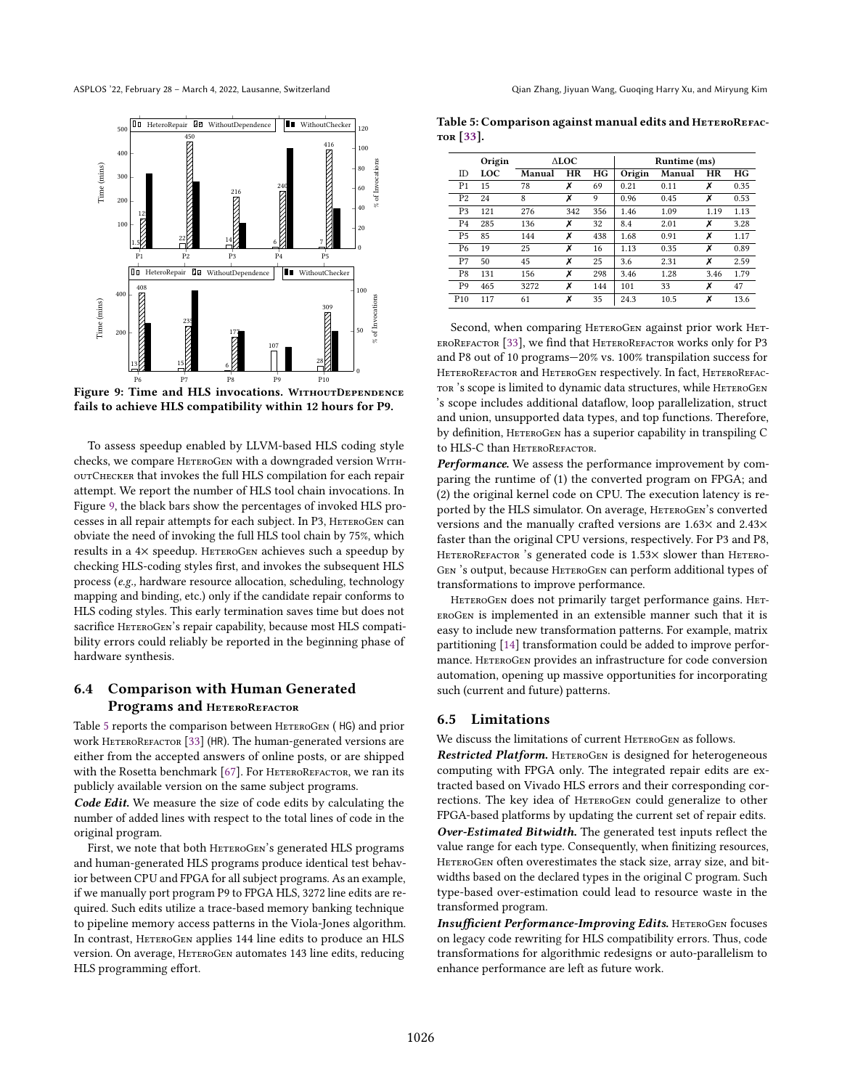<span id="page-9-0"></span>

Figure 9: Time and HLS invocations. WITHOUTDEPENDENCE fails to achieve HLS compatibility within 12 hours for P9.

To assess speedup enabled by LLVM-based HLS coding style checks, we compare HETEROGEN with a downgraded version WITHoutChecker that invokes the full HLS compilation for each repair attempt. We report the number of HLS tool chain invocations. In Figure [9,](#page-9-0) the black bars show the percentages of invoked HLS processes in all repair attempts for each subject. In P3, HETEROGEN can obviate the need of invoking the full HLS tool chain by 75%, which results in a 4× speedup. HETEROGEN achieves such a speedup by checking HLS-coding styles first, and invokes the subsequent HLS process (e.g., hardware resource allocation, scheduling, technology mapping and binding, etc.) only if the candidate repair conforms to HLS coding styles. This early termination saves time but does not sacrifice HETEROGEN's repair capability, because most HLS compatibility errors could reliably be reported in the beginning phase of hardware synthesis.

# 6.4 Comparison with Human Generated Programs and HETEROREFACTOR

Table [5](#page-9-1) reports the comparison between HETEROGEN (HG) and prior work HETEROREFACTOR [\[33\]](#page-11-8) (HR). The human-generated versions are either from the accepted answers of online posts, or are shipped with the Rosetta benchmark  $[67]$ . For HETEROREFACTOR, we ran its publicly available version on the same subject programs.

Code Edit. We measure the size of code edits by calculating the number of added lines with respect to the total lines of code in the original program.

First, we note that both HETEROGEN's generated HLS programs and human-generated HLS programs produce identical test behavior between CPU and FPGA for all subject programs. As an example, if we manually port program P9 to FPGA HLS, 3272 line edits are required. Such edits utilize a trace-based memory banking technique to pipeline memory access patterns in the Viola-Jones algorithm. In contrast, HETEROGEN applies 144 line edits to produce an HLS version. On average, HETEROGEN automates 143 line edits, reducing HLS programming effort.

<span id="page-9-1"></span>Table 5: Comparison against manual edits and HETEROREFAC-TOR  $[33]$ .

|                 | Origin | ALOC.  |           |     | Runtime (ms) |        |      |      |
|-----------------|--------|--------|-----------|-----|--------------|--------|------|------|
| ID              | LOC    | Manual | <b>HR</b> | HG  | Origin       | Manual | HR   | HG   |
| P <sub>1</sub>  | 15     | 78     | Х         | 69  | 0.21         | 0.11   | х    | 0.35 |
| P <sub>2</sub>  | 24     | 8      | Х         | 9   | 0.96         | 0.45   | х    | 0.53 |
| P <sub>3</sub>  | 121    | 276    | 342       | 356 | 1.46         | 1.09   | 1.19 | 1.13 |
| P <sub>4</sub>  | 285    | 136    | x         | 32  | 8.4          | 2.01   | Х    | 3.28 |
| P <sub>5</sub>  | 85     | 144    | Х         | 438 | 1.68         | 0.91   | Х    | 1.17 |
| P <sub>6</sub>  | 19     | 25     | Х         | 16  | 1.13         | 0.35   | Х    | 0.89 |
| P7              | 50     | 45     | Х         | 25  | 3.6          | 2.31   | х    | 2.59 |
| P8              | 131    | 156    | Х         | 298 | 3.46         | 1.28   | 3.46 | 1.79 |
| P <sub>9</sub>  | 465    | 3272   | Х         | 144 | 101          | 33     | х    | 47   |
| P <sub>10</sub> | 117    | 61     | X         | 35  | 24.3         | 10.5   | Х    | 13.6 |

Second, when comparing HETEROGEN against prior work HETeroRefactor [\[33\]](#page-11-8), we find that HeteroRefactor works only for P3 and P8 out of 10 programs $-20\%$  vs. 100% transpilation success for HETEROREFACTOR and HETEROGEN respectively. In fact, HETEROREFAC-TOR 's scope is limited to dynamic data structures, while HETEROGEN 's scope includes additional dataflow, loop parallelization, struct and union, unsupported data types, and top functions. Therefore, by definition, HETEROGEN has a superior capability in transpiling C to HLS-C than HETEROREFACTOR.

Performance. We assess the performance improvement by comparing the runtime of (1) the converted program on FPGA; and (2) the original kernel code on CPU. The execution latency is reported by the HLS simulator. On average, HETEROGEN's converted versions and the manually crafted versions are 1.63× and 2.43× faster than the original CPU versions, respectively. For P3 and P8, HETEROREFACTOR 's generated code is 1.53× slower than HETERO-GEN 's output, because HETEROGEN can perform additional types of transformations to improve performance.

HETEROGEN does not primarily target performance gains. HETeroGen is implemented in an extensible manner such that it is easy to include new transformation patterns. For example, matrix partitioning [\[14\]](#page-11-4) transformation could be added to improve performance. HETEROGEN provides an infrastructure for code conversion automation, opening up massive opportunities for incorporating such (current and future) patterns.

#### 6.5 Limitations

We discuss the limitations of current HETEROGEN as follows.

Restricted Platform. HETEROGEN is designed for heterogeneous computing with FPGA only. The integrated repair edits are extracted based on Vivado HLS errors and their corresponding corrections. The key idea of HETEROGEN could generalize to other FPGA-based platforms by updating the current set of repair edits. Over-Estimated Bitwidth. The generated test inputs reflect the value range for each type. Consequently, when finitizing resources, HETEROGEN often overestimates the stack size, array size, and bitwidths based on the declared types in the original C program. Such type-based over-estimation could lead to resource waste in the transformed program.

Insufficient Performance-Improving Edits. HETEROGEN focuses on legacy code rewriting for HLS compatibility errors. Thus, code transformations for algorithmic redesigns or auto-parallelism to enhance performance are left as future work.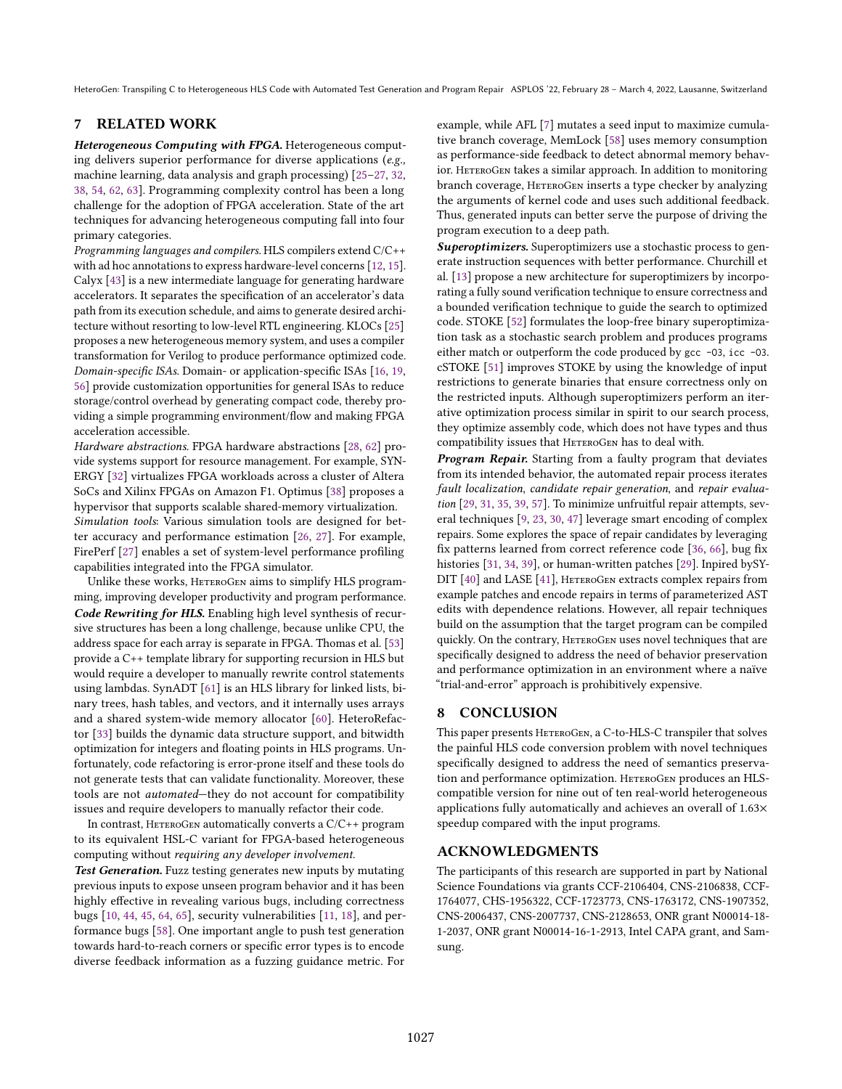# 7 RELATED WORK

Heterogeneous Computing with FPGA. Heterogeneous computing delivers superior performance for diverse applications (e.g., machine learning, data analysis and graph processing) [\[25](#page-11-20)-27, [32,](#page-11-22) [38,](#page-11-23) [54,](#page-12-17) [62,](#page-12-18) [63\]](#page-12-19). Programming complexity control has been a long challenge for the adoption of FPGA acceleration. State of the art techniques for advancing heterogeneous computing fall into four primary categories.

Programming languages and compilers. HLS compilers extend C/C++ with ad hoc annotations to express hardware-level concerns [\[12,](#page-11-24) [15\]](#page-11-3). Calyx [\[43\]](#page-12-20) is a new intermediate language for generating hardware accelerators. It separates the specification of an accelerator's data path from its execution schedule, and aims to generate desired architecture without resorting to low-level RTL engineering. KLOCs [\[25\]](#page-11-20) proposes a new heterogeneous memory system, and uses a compiler transformation for Verilog to produce performance optimized code. Domain-specific ISAs. Domain- or application-specific ISAs [\[16,](#page-11-25) [19,](#page-11-26) [56\]](#page-12-21) provide customization opportunities for general ISAs to reduce storage/control overhead by generating compact code, thereby providing a simple programming environment/flow and making FPGA acceleration accessible.

Hardware abstractions. FPGA hardware abstractions [\[28,](#page-11-27) [62\]](#page-12-18) provide systems support for resource management. For example, SYN-ERGY [\[32\]](#page-11-22) virtualizes FPGA workloads across a cluster of Altera SoCs and Xilinx FPGAs on Amazon F1. Optimus [\[38\]](#page-11-23) proposes a hypervisor that supports scalable shared-memory virtualization. Simulation tools: Various simulation tools are designed for better accuracy and performance estimation [\[26,](#page-11-28) [27\]](#page-11-21). For example, FirePerf [\[27\]](#page-11-21) enables a set of system-level performance profiling capabilities integrated into the FPGA simulator.

Unlike these works, HETEROGEN aims to simplify HLS programming, improving developer productivity and program performance. Code Rewriting for HLS. Enabling high level synthesis of recursive structures has been a long challenge, because unlike CPU, the address space for each array is separate in FPGA. Thomas et al. [\[53\]](#page-12-4) provide a C++ template library for supporting recursion in HLS but would require a developer to manually rewrite control statements using lambdas. SynADT [\[61\]](#page-12-6) is an HLS library for linked lists, binary trees, hash tables, and vectors, and it internally uses arrays and a shared system-wide memory allocator [\[60\]](#page-12-5). HeteroRefactor [\[33\]](#page-11-8) builds the dynamic data structure support, and bitwidth optimization for integers and floating points in HLS programs. Unfortunately, code refactoring is error-prone itself and these tools do not generate tests that can validate functionality. Moreover, these tools are not *automated*-they do not account for compatibility issues and require developers to manually refactor their code.

In contrast, HETEROGEN automatically converts a  $C/C++$  program to its equivalent HSL-C variant for FPGA-based heterogeneous computing without requiring any developer involvement.

Test Generation. Fuzz testing generates new inputs by mutating previous inputs to expose unseen program behavior and it has been highly effective in revealing various bugs, including correctness bugs [\[10,](#page-11-29) [44,](#page-12-22) [45,](#page-12-23) [64,](#page-12-24) [65\]](#page-12-25), security vulnerabilities [\[11,](#page-11-30) [18\]](#page-11-31), and performance bugs [\[58\]](#page-12-26). One important angle to push test generation towards hard-to-reach corners or specific error types is to encode diverse feedback information as a fuzzing guidance metric. For

example, while AFL [\[7\]](#page-11-7) mutates a seed input to maximize cumulative branch coverage, MemLock [\[58\]](#page-12-26) uses memory consumption as performance-side feedback to detect abnormal memory behavior. HETEROGEN takes a similar approach. In addition to monitoring branch coverage, HETEROGEN inserts a type checker by analyzing the arguments of kernel code and uses such additional feedback. Thus, generated inputs can better serve the purpose of driving the program execution to a deep path.

Superoptimizers. Superoptimizers use a stochastic process to generate instruction sequences with better performance. Churchill et al. [\[13\]](#page-11-32) propose a new architecture for superoptimizers by incorporating a fully sound verification technique to ensure correctness and a bounded verification technique to guide the search to optimized code. STOKE [\[52\]](#page-12-27) formulates the loop-free binary superoptimization task as a stochastic search problem and produces programs either match or outperform the code produced by gcc -03, icc -03. cSTOKE [\[51\]](#page-12-28) improves STOKE by using the knowledge of input restrictions to generate binaries that ensure correctness only on the restricted inputs. Although superoptimizers perform an iterative optimization process similar in spirit to our search process, they optimize assembly code, which does not have types and thus compatibility issues that HETEROGEN has to deal with.

Program Repair. Starting from a faulty program that deviates from its intended behavior, the automated repair process iterates fault localization, candidate repair generation, and repair evaluation [\[29,](#page-11-5) [31,](#page-11-6) [35,](#page-11-17) [39,](#page-12-14) [57\]](#page-12-7). To minimize unfruitful repair attempts, several techniques [\[9,](#page-11-33) [23,](#page-11-34) [30,](#page-11-35) [47\]](#page-12-29) leverage smart encoding of complex repairs. Some explores the space of repair candidates by leveraging fix patterns learned from correct reference code [\[36,](#page-11-36) [66\]](#page-12-13), bug fix histories [\[31,](#page-11-6) [34,](#page-11-37) [39\]](#page-12-14), or human-written patches [\[29\]](#page-11-5). Inpired bySY-DIT [\[40\]](#page-12-8) and LASE [\[41\]](#page-12-9), HETEROGEN extracts complex repairs from example patches and encode repairs in terms of parameterized AST edits with dependence relations. However, all repair techniques build on the assumption that the target program can be compiled quickly. On the contrary, HETEROGEN uses novel techniques that are specifically designed to address the need of behavior preservation and performance optimization in an environment where a naïve łtrial-and-errorž approach is prohibitively expensive.

# 8 CONCLUSION

This paper presents HETEROGEN, a C-to-HLS-C transpiler that solves the painful HLS code conversion problem with novel techniques specifically designed to address the need of semantics preservation and performance optimization. HETEROGEN produces an HLScompatible version for nine out of ten real-world heterogeneous applications fully automatically and achieves an overall of 1.63× speedup compared with the input programs.

# ACKNOWLEDGMENTS

The participants of this research are supported in part by National Science Foundations via grants CCF-2106404, CNS-2106838, CCF-1764077, CHS-1956322, CCF-1723773, CNS-1763172, CNS-1907352, CNS-2006437, CNS-2007737, CNS-2128653, ONR grant N00014-18- 1-2037, ONR grant N00014-16-1-2913, Intel CAPA grant, and Samsung.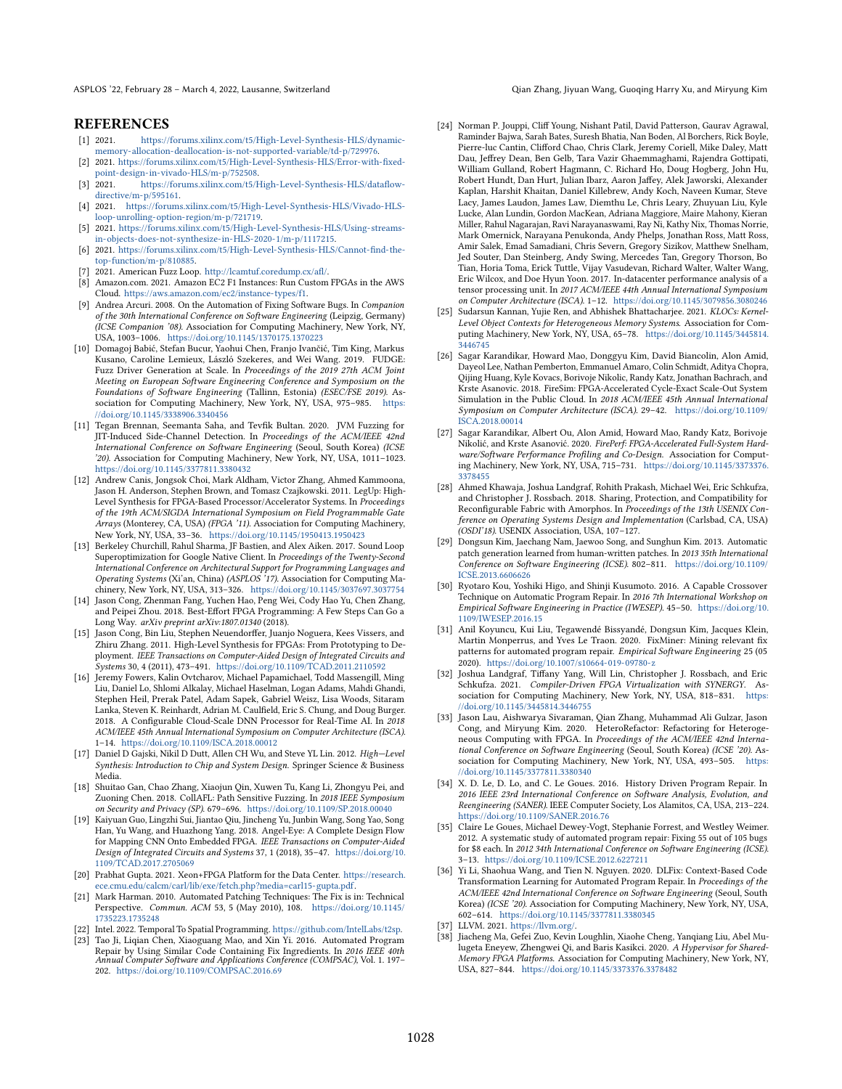ASPLOS '22, February 28 – March 4, 2022, Lausanne, Switzerland Qian Chang, Jiyuan Wang, Guoqing Harry Xu, and Miryung Kim

#### **REFERENCES**

- <span id="page-11-11"></span>[1] 2021. [https://forums.xilinx.com/t5/High-Level-Synthesis-HLS/dynamic](https://forums.xilinx.com/t5/High-Level-Synthesis-HLS/dynamic-memory-allocation-deallocation-is-not-supported-variable/td-p/729976)[memory-allocation-deallocation-is-not-supported-variable/td-p/729976.](https://forums.xilinx.com/t5/High-Level-Synthesis-HLS/dynamic-memory-allocation-deallocation-is-not-supported-variable/td-p/729976)
- <span id="page-11-12"></span>[2] 2021. [https://forums.xilinx.com/t5/High-Level-Synthesis-HLS/Error-with-fixed](https://forums.xilinx.com/t5/High-Level-Synthesis-HLS/Error-with-fixed-point-design-in-vivado-HLS/m-p/752508)[point-design-in-vivado-HLS/m-p/752508.](https://forums.xilinx.com/t5/High-Level-Synthesis-HLS/Error-with-fixed-point-design-in-vivado-HLS/m-p/752508)
- <span id="page-11-13"></span>[3] 2021. [https://forums.xilinx.com/t5/High-Level-Synthesis-HLS/dataflow](https://forums.xilinx.com/t5/High-Level-Synthesis-HLS/dataflow-directive/m-p/595161)[directive/m-p/595161.](https://forums.xilinx.com/t5/High-Level-Synthesis-HLS/dataflow-directive/m-p/595161)
- <span id="page-11-14"></span>[4] 2021. [https://forums.xilinx.com/t5/High-Level-Synthesis-HLS/Vivado-HLS](https://forums.xilinx.com/t5/High-Level-Synthesis-HLS/Vivado-HLS-loop-unrolling-option-region/m-p/721719)[loop-unrolling-option-region/m-p/721719.](https://forums.xilinx.com/t5/High-Level-Synthesis-HLS/Vivado-HLS-loop-unrolling-option-region/m-p/721719)
- <span id="page-11-15"></span>[5] 2021. [https://forums.xilinx.com/t5/High-Level-Synthesis-HLS/Using-streams](https://forums.xilinx.com/t5/High-Level-Synthesis-HLS/Using-streams-in-objects-does-not-synthesize-in-HLS-2020-1/m-p/1117215)[in-objects-does-not-synthesize-in-HLS-2020-1/m-p/1117215.](https://forums.xilinx.com/t5/High-Level-Synthesis-HLS/Using-streams-in-objects-does-not-synthesize-in-HLS-2020-1/m-p/1117215)
- <span id="page-11-16"></span>[6] 2021. [https://forums.xilinx.com/t5/High-Level-Synthesis-HLS/Cannot-find-the](https://forums.xilinx.com/t5/High-Level-Synthesis-HLS/Cannot-find-the-top-function/m-p/810885)[top-function/m-p/810885.](https://forums.xilinx.com/t5/High-Level-Synthesis-HLS/Cannot-find-the-top-function/m-p/810885)
- <span id="page-11-7"></span>[7] 2021. American Fuzz Loop. [http://lcamtuf.coredump.cx/afl/.](http://lcamtuf.coredump.cx/afl/)
- <span id="page-11-1"></span>Amazon.com. 2021. Amazon EC2 F1 Instances: Run Custom FPGAs in the AWS Cloud. [https://aws.amazon.com/ec2/instance-types/f1.](https://aws.amazon.com/ec2/instance-types/f1)
- <span id="page-11-33"></span>[9] Andrea Arcuri. 2008. On the Automation of Fixing Software Bugs. In Companion of the 30th International Conference on Software Engineering (Leipzig, Germany) (ICSE Companion '08). Association for Computing Machinery, New York, NY, USA, 1003-1006. <https://doi.org/10.1145/1370175.1370223>
- <span id="page-11-29"></span>[10] Domagoj Babić, Stefan Bucur, Yaohui Chen, Franjo Ivančić, Tim King, Markus Kusano, Caroline Lemieux, László Szekeres, and Wei Wang. 2019. FUDGE: Fuzz Driver Generation at Scale. In Proceedings of the 2019 27th ACM Joint Meeting on European Software Engineering Conference and Symposium on the Foundations of Software Engineering (Tallinn, Estonia) (ESEC/FSE 2019). Association for Computing Machinery, New York, NY, USA, 975-985. [https:](https://doi.org/10.1145/3338906.3340456) [//doi.org/10.1145/3338906.3340456](https://doi.org/10.1145/3338906.3340456)
- <span id="page-11-30"></span>[11] Tegan Brennan, Seemanta Saha, and Tevfik Bultan. 2020. JVM Fuzzing for JIT-Induced Side-Channel Detection. In Proceedings of the ACM/IEEE 42nd International Conference on Software Engineering (Seoul, South Korea) (ICSE '20). Association for Computing Machinery, New York, NY, USA, 1011-1023. <https://doi.org/10.1145/3377811.3380432>
- <span id="page-11-24"></span>[12] Andrew Canis, Jongsok Choi, Mark Aldham, Victor Zhang, Ahmed Kammoona, Jason H. Anderson, Stephen Brown, and Tomasz Czajkowski. 2011. LegUp: High-Level Synthesis for FPGA-Based Processor/Accelerator Systems. In Proceedings of the 19th ACM/SIGDA International Symposium on Field Programmable Gate Arrays (Monterey, CA, USA) (FPGA '11). Association for Computing Machinery, New York, NY, USA, 33-36. <https://doi.org/10.1145/1950413.1950423>
- <span id="page-11-32"></span>[13] Berkeley Churchill, Rahul Sharma, JF Bastien, and Alex Aiken, 2017. Sound Loop Superoptimization for Google Native Client. In Proceedings of the Twenty-Second International Conference on Architectural Support for Programming Languages and Operating Systems (Xi'an, China) (ASPLOS '17). Association for Computing Machinery, New York, NY, USA, 313-326. <https://doi.org/10.1145/3037697.3037754>
- <span id="page-11-4"></span>[14] Jason Cong, Zhenman Fang, Yuchen Hao, Peng Wei, Cody Hao Yu, Chen Zhang, and Peipei Zhou. 2018. Best-Effort FPGA Programming: A Few Steps Can Go a Long Way. arXiv preprint arXiv:1807.01340 (2018).
- <span id="page-11-3"></span>[15] Jason Cong, Bin Liu, Stephen Neuendorffer, Juanjo Noguera, Kees Vissers, and Zhiru Zhang. 2011. High-Level Synthesis for FPGAs: From Prototyping to Deployment. IEEE Transactions on Computer-Aided Design of Integrated Circuits and Systems 30, 4 (2011), 473-491. <https://doi.org/10.1109/TCAD.2011.2110592>
- <span id="page-11-25"></span>[16] Jeremy Fowers, Kalin Ovtcharov, Michael Papamichael, Todd Massengill, Ming Liu, Daniel Lo, Shlomi Alkalay, Michael Haselman, Logan Adams, Mahdi Ghandi, Stephen Heil, Prerak Patel, Adam Sapek, Gabriel Weisz, Lisa Woods, Sitaram Lanka, Steven K. Reinhardt, Adrian M. Caulfield, Eric S. Chung, and Doug Burger. 2018. A Configurable Cloud-Scale DNN Processor for Real-Time AI. In 2018 ACM/IEEE 45th Annual International Symposium on Computer Architecture (ISCA). 1-14. <https://doi.org/10.1109/ISCA.2018.00012>
- <span id="page-11-9"></span>[17] Daniel D Gajski, Nikil D Dutt, Allen CH Wu, and Steve YL Lin. 2012. High-Level Synthesis: Introduction to Chip and System Design. Springer Science & Business Media.
- <span id="page-11-31"></span>[18] Shuitao Gan, Chao Zhang, Xiaojun Qin, Xuwen Tu, Kang Li, Zhongyu Pei, and Zuoning Chen. 2018. CollAFL: Path Sensitive Fuzzing. In 2018 IEEE Symposium on Security and Privacy (SP). 679-696. <https://doi.org/10.1109/SP.2018.00040>
- <span id="page-11-26"></span>[19] Kaiyuan Guo, Lingzhi Sui, Jiantao Qiu, Jincheng Yu, Junbin Wang, Song Yao, Song Han, Yu Wang, and Huazhong Yang. 2018. Angel-Eye: A Complete Design Flow for Mapping CNN Onto Embedded FPGA. IEEE Transactions on Computer-Aided Design of Integrated Circuits and Systems 37, 1 (2018), 35-47. [https://doi.org/10.](https://doi.org/10.1109/TCAD.2017.2705069) [1109/TCAD.2017.2705069](https://doi.org/10.1109/TCAD.2017.2705069)
- <span id="page-11-0"></span>[20] Prabhat Gupta. 2021. Xeon+FPGA Platform for the Data Center. [https://research.](https://research.ece.cmu.edu/calcm/carl/lib/exe/fetch.php?media=carl15-gupta.pdf) [ece.cmu.edu/calcm/carl/lib/exe/fetch.php?media=carl15-gupta.pdf.](https://research.ece.cmu.edu/calcm/carl/lib/exe/fetch.php?media=carl15-gupta.pdf)
- <span id="page-11-10"></span>[21] Mark Harman. 2010. Automated Patching Techniques: The Fix is in: Technical Perspective. Commun. ACM 53, 5 (May 2010), 108. [https://doi.org/10.1145/](https://doi.org/10.1145/1735223.1735248) [1735223.1735248](https://doi.org/10.1145/1735223.1735248)
- <span id="page-11-18"></span>[22] Intel. 2022. Temporal To Spatial Programming. [https://github.com/IntelLabs/t2sp.](https://github.com/IntelLabs/t2sp)
- <span id="page-11-34"></span>[23] Tao Ji, Liqian Chen, Xiaoguang Mao, and Xin Yi. 2016. Automated Program Repair by Using Similar Code Containing Fix Ingredients. In 2016 IEEE 40th<br>Annual Computer Software and Applications Conference (COMPSAC), Vol. 1. 197– 202. <https://doi.org/10.1109/COMPSAC.2016.69>
- <span id="page-11-2"></span>[24] Norman P. Jouppi, Cliff Young, Nishant Patil, David Patterson, Gaurav Agrawal, Raminder Bajwa, Sarah Bates, Suresh Bhatia, Nan Boden, Al Borchers, Rick Boyle, Pierre-luc Cantin, Clifford Chao, Chris Clark, Jeremy Coriell, Mike Daley, Matt Dau, Jeffrey Dean, Ben Gelb, Tara Vazir Ghaemmaghami, Rajendra Gottipati, William Gulland, Robert Hagmann, C. Richard Ho, Doug Hogberg, John Hu, Robert Hundt, Dan Hurt, Julian Ibarz, Aaron Jaffey, Alek Jaworski, Alexander Kaplan, Harshit Khaitan, Daniel Killebrew, Andy Koch, Naveen Kumar, Steve Lacy, James Laudon, James Law, Diemthu Le, Chris Leary, Zhuyuan Liu, Kyle Lucke, Alan Lundin, Gordon MacKean, Adriana Maggiore, Maire Mahony, Kieran Miller, Rahul Nagarajan, Ravi Narayanaswami, Ray Ni, Kathy Nix, Thomas Norrie, Mark Omernick, Narayana Penukonda, Andy Phelps, Jonathan Ross, Matt Ross, Amir Salek, Emad Samadiani, Chris Severn, Gregory Sizikov, Matthew Snelham, Jed Souter, Dan Steinberg, Andy Swing, Mercedes Tan, Gregory Thorson, Bo Tian, Horia Toma, Erick Tuttle, Vijay Vasudevan, Richard Walter, Walter Wang, Eric Wilcox, and Doe Hyun Yoon. 2017. In-datacenter performance analysis of a tensor processing unit. In 2017 ACM/IEEE 44th Annual International Symposium on Computer Architecture (ISCA). 1-12. <https://doi.org/10.1145/3079856.3080246>
- <span id="page-11-20"></span>[25] Sudarsun Kannan, Yujie Ren, and Abhishek Bhattacharjee. 2021. KLOCs: Kernel-Level Object Contexts for Heterogeneous Memory Systems. Association for Computing Machinery, New York, NY, USA, 65-78. [https://doi.org/10.1145/3445814.](https://doi.org/10.1145/3445814.3446745) [3446745](https://doi.org/10.1145/3445814.3446745)
- <span id="page-11-28"></span>[26] Sagar Karandikar, Howard Mao, Donggyu Kim, David Biancolin, Alon Amid, Dayeol Lee, Nathan Pemberton, Emmanuel Amaro, Colin Schmidt, Aditya Chopra, Qijing Huang, Kyle Kovacs, Borivoje Nikolic, Randy Katz, Jonathan Bachrach, and Krste Asanovic. 2018. FireSim: FPGA-Accelerated Cycle-Exact Scale-Out System Simulation in the Public Cloud. In 2018 ACM/IEEE 45th Annual International Symposium on Computer Architecture (ISCA). 29-42. [https://doi.org/10.1109/](https://doi.org/10.1109/ISCA.2018.00014) [ISCA.2018.00014](https://doi.org/10.1109/ISCA.2018.00014)
- <span id="page-11-21"></span>[27] Sagar Karandikar, Albert Ou, Alon Amid, Howard Mao, Randy Katz, Borivoje Nikolić, and Krste Asanović. 2020. FirePerf: FPGA-Accelerated Full-System Hardware/Software Performance Profiling and Co-Design. Association for Comput-<br>ing Machinery, New York, NY, USA, 715–731. [https://doi.org/10.1145/3373376.](https://doi.org/10.1145/3373376.3378455) [3378455](https://doi.org/10.1145/3373376.3378455)
- <span id="page-11-27"></span>[28] Ahmed Khawaja, Joshua Landgraf, Rohith Prakash, Michael Wei, Eric Schkufza, and Christopher J. Rossbach. 2018. Sharing, Protection, and Compatibility for Reconfigurable Fabric with Amorphos. In Proceedings of the 13th USENIX Conference on Operating Systems Design and Implementation (Carlsbad, CA, USA) (OSDI'18). USENIX Association, USA, 107-127.
- <span id="page-11-5"></span>[29] Dongsun Kim, Jaechang Nam, Jaewoo Song, and Sunghun Kim. 2013. Automatic patch generation learned from human-written patches. In 2013 35th International Conference on Software Engineering (ICSE). 802-811. [https://doi.org/10.1109/](https://doi.org/10.1109/ICSE.2013.6606626) [ICSE.2013.6606626](https://doi.org/10.1109/ICSE.2013.6606626)
- <span id="page-11-35"></span>[30] Ryotaro Kou, Yoshiki Higo, and Shinji Kusumoto. 2016. A Capable Crossover Technique on Automatic Program Repair. In 2016 7th International Workshop on Empirical Software Engineering in Practice (IWESEP). 45-50. [https://doi.org/10.](https://doi.org/10.1109/IWESEP.2016.15) [1109/IWESEP.2016.15](https://doi.org/10.1109/IWESEP.2016.15)
- <span id="page-11-6"></span>[31] Anil Koyuncu, Kui Liu, Tegawendé Bissyandé, Dongsun Kim, Jacques Klein, Martin Monperrus, and Yves Le Traon. 2020. FixMiner: Mining relevant fix patterns for automated program repair. Empirical Software Engineering 25 (05 2020). <https://doi.org/10.1007/s10664-019-09780-z>
- <span id="page-11-22"></span>[32] Joshua Landgraf, Tiffany Yang, Will Lin, Christopher J. Rossbach, and Eric Schkufza. 2021. Compiler-Driven FPGA Virtualization with SYNERGY. Association for Computing Machinery, New York, NY, USA, 818-831. [https:](https://doi.org/10.1145/3445814.3446755) [//doi.org/10.1145/3445814.3446755](https://doi.org/10.1145/3445814.3446755)
- <span id="page-11-8"></span>[33] Jason Lau, Aishwarya Sivaraman, Qian Zhang, Muhammad Ali Gulzar, Jason Cong, and Miryung Kim. 2020. HeteroRefactor: Refactoring for Heterogeneous Computing with FPGA. In Proceedings of the ACM/IEEE 42nd International Conference on Software Engineering (Seoul, South Korea) (ICSE '20). Association for Computing Machinery, New York, NY, USA, 493-505. [https:](https://doi.org/10.1145/3377811.3380340) [//doi.org/10.1145/3377811.3380340](https://doi.org/10.1145/3377811.3380340)
- <span id="page-11-37"></span>[34] X. D. Le, D. Lo, and C. Le Goues. 2016. History Driven Program Repair. In 2016 IEEE 23rd International Conference on Software Analysis, Evolution, and Reengineering (SANER). IEEE Computer Society, Los Alamitos, CA, USA, 213-224. <https://doi.org/10.1109/SANER.2016.76>
- <span id="page-11-17"></span>[35] Claire Le Goues, Michael Dewey-Vogt, Stephanie Forrest, and Westley Weimer. 2012. A systematic study of automated program repair: Fixing 55 out of 105 bugs for \$8 each. In 2012 34th International Conference on Software Engineering (ICSE). 3ś13. <https://doi.org/10.1109/ICSE.2012.6227211>
- <span id="page-11-36"></span>[36] Yi Li, Shaohua Wang, and Tien N. Nguyen. 2020. DLFix: Context-Based Code Transformation Learning for Automated Program Repair. In Proceedings of the ACM/IEEE 42nd International Conference on Software Engineering (Seoul, South Korea) (ICSE '20). Association for Computing Machinery, New York, NY, USA, 602-614. <https://doi.org/10.1145/3377811.3380345>
- <span id="page-11-19"></span>[37] LLVM. 2021. [https://llvm.org/.](https://llvm.org/)
- <span id="page-11-23"></span>[38] Jiacheng Ma, Gefei Zuo, Kevin Loughlin, Xiaohe Cheng, Yanqiang Liu, Abel Mulugeta Eneyew, Zhengwei Qi, and Baris Kasikci. 2020. A Hypervisor for Shared-Memory FPGA Platforms. Association for Computing Machinery, New York, NY, USA, 827-844. <https://doi.org/10.1145/3373376.3378482>